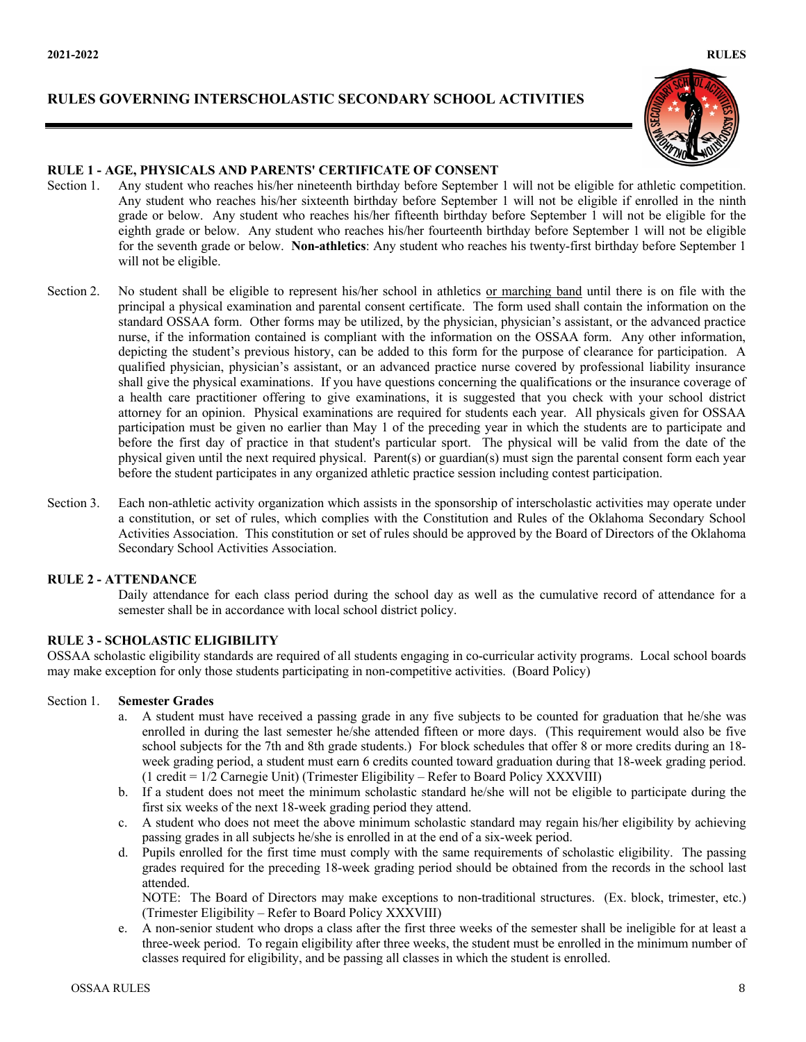# **RULES GOVERNING INTERSCHOLASTIC SECONDARY SCHOOL ACTIVITIES**





### **RULE 1 - AGE, PHYSICALS AND PARENTS' CERTIFICATE OF CONSENT**

- Section 1. Any student who reaches his/her nineteenth birthday before September 1 will not be eligible for athletic competition. Any student who reaches his/her sixteenth birthday before September 1 will not be eligible if enrolled in the ninth grade or below. Any student who reaches his/her fifteenth birthday before September 1 will not be eligible for the eighth grade or below. Any student who reaches his/her fourteenth birthday before September 1 will not be eligible for the seventh grade or below. **Non-athletics**: Any student who reaches his twenty-first birthday before September 1 will not be eligible.
- Section 2. No student shall be eligible to represent his/her school in athletics or marching band until there is on file with the principal a physical examination and parental consent certificate. The form used shall contain the information on the standard OSSAA form. Other forms may be utilized, by the physician, physician's assistant, or the advanced practice nurse, if the information contained is compliant with the information on the OSSAA form. Any other information, depicting the student's previous history, can be added to this form for the purpose of clearance for participation. A qualified physician, physician's assistant, or an advanced practice nurse covered by professional liability insurance shall give the physical examinations. If you have questions concerning the qualifications or the insurance coverage of a health care practitioner offering to give examinations, it is suggested that you check with your school district attorney for an opinion. Physical examinations are required for students each year. All physicals given for OSSAA participation must be given no earlier than May 1 of the preceding year in which the students are to participate and before the first day of practice in that student's particular sport. The physical will be valid from the date of the physical given until the next required physical. Parent(s) or guardian(s) must sign the parental consent form each year before the student participates in any organized athletic practice session including contest participation.
- Section 3. Each non-athletic activity organization which assists in the sponsorship of interscholastic activities may operate under a constitution, or set of rules, which complies with the Constitution and Rules of the Oklahoma Secondary School Activities Association. This constitution or set of rules should be approved by the Board of Directors of the Oklahoma Secondary School Activities Association.

#### **RULE 2 - ATTENDANCE**

Daily attendance for each class period during the school day as well as the cumulative record of attendance for a semester shall be in accordance with local school district policy.

# **RULE 3 - SCHOLASTIC ELIGIBILITY**

OSSAA scholastic eligibility standards are required of all students engaging in co-curricular activity programs. Local school boards may make exception for only those students participating in non-competitive activities. (Board Policy)

#### Section 1. **Semester Grades**

- a. A student must have received a passing grade in any five subjects to be counted for graduation that he/she was enrolled in during the last semester he/she attended fifteen or more days. (This requirement would also be five school subjects for the 7th and 8th grade students.) For block schedules that offer 8 or more credits during an 18 week grading period, a student must earn 6 credits counted toward graduation during that 18-week grading period. (1 credit = 1/2 Carnegie Unit) (Trimester Eligibility – Refer to Board Policy XXXVIII)
- b. If a student does not meet the minimum scholastic standard he/she will not be eligible to participate during the first six weeks of the next 18-week grading period they attend.
- c. A student who does not meet the above minimum scholastic standard may regain his/her eligibility by achieving passing grades in all subjects he/she is enrolled in at the end of a six-week period.
- d. Pupils enrolled for the first time must comply with the same requirements of scholastic eligibility. The passing grades required for the preceding 18-week grading period should be obtained from the records in the school last attended.

NOTE: The Board of Directors may make exceptions to non-traditional structures. (Ex. block, trimester, etc.) (Trimester Eligibility – Refer to Board Policy XXXVIII)

e. A non-senior student who drops a class after the first three weeks of the semester shall be ineligible for at least a three-week period. To regain eligibility after three weeks, the student must be enrolled in the minimum number of classes required for eligibility, and be passing all classes in which the student is enrolled.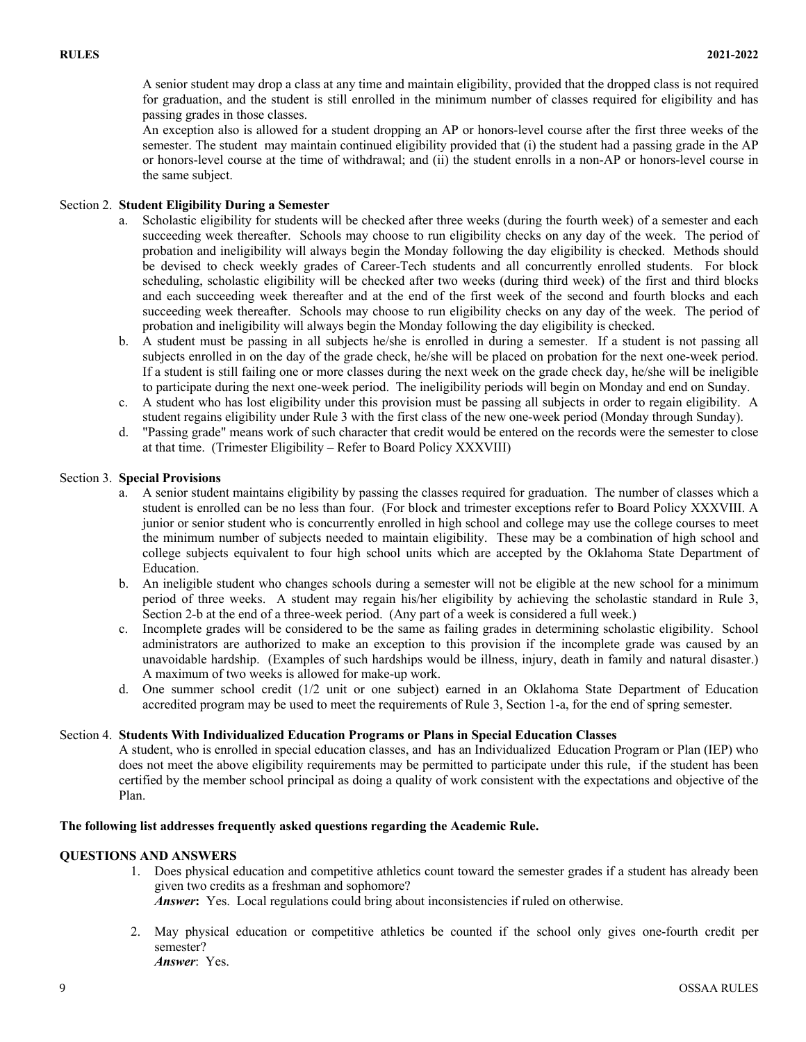A senior student may drop a class at any time and maintain eligibility, provided that the dropped class is not required for graduation, and the student is still enrolled in the minimum number of classes required for eligibility and has passing grades in those classes.

An exception also is allowed for a student dropping an AP or honors-level course after the first three weeks of the semester. The student may maintain continued eligibility provided that (i) the student had a passing grade in the AP or honors-level course at the time of withdrawal; and (ii) the student enrolls in a non-AP or honors-level course in the same subject.

### Section 2. **Student Eligibility During a Semester**

- a. Scholastic eligibility for students will be checked after three weeks (during the fourth week) of a semester and each succeeding week thereafter. Schools may choose to run eligibility checks on any day of the week. The period of probation and ineligibility will always begin the Monday following the day eligibility is checked. Methods should be devised to check weekly grades of Career-Tech students and all concurrently enrolled students. For block scheduling, scholastic eligibility will be checked after two weeks (during third week) of the first and third blocks and each succeeding week thereafter and at the end of the first week of the second and fourth blocks and each succeeding week thereafter. Schools may choose to run eligibility checks on any day of the week. The period of probation and ineligibility will always begin the Monday following the day eligibility is checked.
- b. A student must be passing in all subjects he/she is enrolled in during a semester. If a student is not passing all subjects enrolled in on the day of the grade check, he/she will be placed on probation for the next one-week period. If a student is still failing one or more classes during the next week on the grade check day, he/she will be ineligible to participate during the next one-week period. The ineligibility periods will begin on Monday and end on Sunday.
- c. A student who has lost eligibility under this provision must be passing all subjects in order to regain eligibility. A student regains eligibility under Rule 3 with the first class of the new one-week period (Monday through Sunday).
- d. "Passing grade" means work of such character that credit would be entered on the records were the semester to close at that time. (Trimester Eligibility – Refer to Board Policy XXXVIII)

### Section 3. **Special Provisions**

- a. A senior student maintains eligibility by passing the classes required for graduation. The number of classes which a student is enrolled can be no less than four. (For block and trimester exceptions refer to Board Policy XXXVIII. A junior or senior student who is concurrently enrolled in high school and college may use the college courses to meet the minimum number of subjects needed to maintain eligibility. These may be a combination of high school and college subjects equivalent to four high school units which are accepted by the Oklahoma State Department of Education.
- b. An ineligible student who changes schools during a semester will not be eligible at the new school for a minimum period of three weeks. A student may regain his/her eligibility by achieving the scholastic standard in Rule 3, Section 2-b at the end of a three-week period. (Any part of a week is considered a full week.)
- c. Incomplete grades will be considered to be the same as failing grades in determining scholastic eligibility. School administrators are authorized to make an exception to this provision if the incomplete grade was caused by an unavoidable hardship. (Examples of such hardships would be illness, injury, death in family and natural disaster.) A maximum of two weeks is allowed for make-up work.
- d. One summer school credit (1/2 unit or one subject) earned in an Oklahoma State Department of Education accredited program may be used to meet the requirements of Rule 3, Section 1-a, for the end of spring semester.

#### Section 4. **Students With Individualized Education Programs or Plans in Special Education Classes**

A student, who is enrolled in special education classes, and has an Individualized Education Program or Plan (IEP) who does not meet the above eligibility requirements may be permitted to participate under this rule, if the student has been certified by the member school principal as doing a quality of work consistent with the expectations and objective of the Plan.

#### **The following list addresses frequently asked questions regarding the Academic Rule.**

# **QUESTIONS AND ANSWERS**

- 1. Does physical education and competitive athletics count toward the semester grades if a student has already been given two credits as a freshman and sophomore? *Answer*: Yes. Local regulations could bring about inconsistencies if ruled on otherwise.
- 2. May physical education or competitive athletics be counted if the school only gives one-fourth credit per semester? *Answer*: Yes.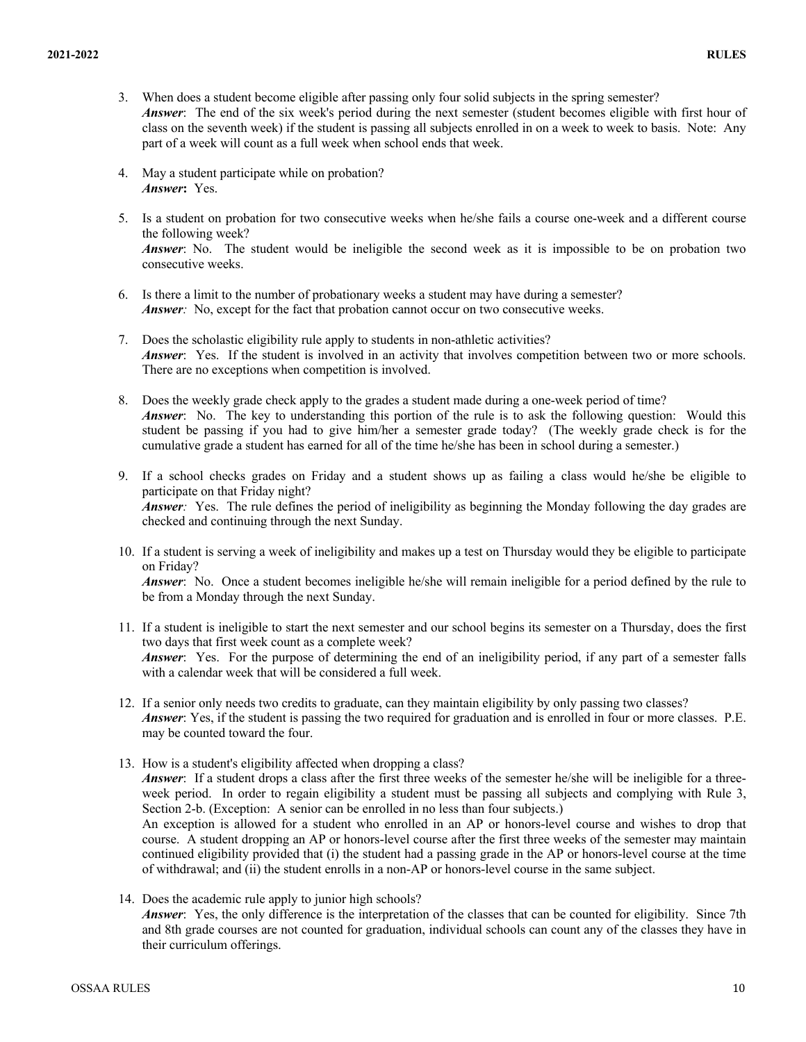- 3. When does a student become eligible after passing only four solid subjects in the spring semester? *Answer*: The end of the six week's period during the next semester (student becomes eligible with first hour of class on the seventh week) if the student is passing all subjects enrolled in on a week to week to basis. Note: Any part of a week will count as a full week when school ends that week.
- 4. May a student participate while on probation? *Answer***:** Yes.
- 5. Is a student on probation for two consecutive weeks when he/she fails a course one-week and a different course the following week? *Answer*: No. The student would be ineligible the second week as it is impossible to be on probation two

consecutive weeks.

- 6. Is there a limit to the number of probationary weeks a student may have during a semester? *Answer*: No, except for the fact that probation cannot occur on two consecutive weeks.
- 7. Does the scholastic eligibility rule apply to students in non-athletic activities? *Answer*: Yes. If the student is involved in an activity that involves competition between two or more schools. There are no exceptions when competition is involved.
- 8. Does the weekly grade check apply to the grades a student made during a one-week period of time? *Answer*: No. The key to understanding this portion of the rule is to ask the following question: Would this student be passing if you had to give him/her a semester grade today? (The weekly grade check is for the cumulative grade a student has earned for all of the time he/she has been in school during a semester.)
- 9. If a school checks grades on Friday and a student shows up as failing a class would he/she be eligible to participate on that Friday night? *Answer*: Yes. The rule defines the period of ineligibility as beginning the Monday following the day grades are checked and continuing through the next Sunday.
- 10. If a student is serving a week of ineligibility and makes up a test on Thursday would they be eligible to participate on Friday?

*Answer*: No. Once a student becomes ineligible he/she will remain ineligible for a period defined by the rule to be from a Monday through the next Sunday.

- 11. If a student is ineligible to start the next semester and our school begins its semester on a Thursday, does the first two days that first week count as a complete week? *Answer*: Yes. For the purpose of determining the end of an ineligibility period, if any part of a semester falls with a calendar week that will be considered a full week.
- 12. If a senior only needs two credits to graduate, can they maintain eligibility by only passing two classes? *Answer*: Yes, if the student is passing the two required for graduation and is enrolled in four or more classes. P.E. may be counted toward the four.
- 13. How is a student's eligibility affected when dropping a class? *Answer*: If a student drops a class after the first three weeks of the semester he/she will be ineligible for a threeweek period. In order to regain eligibility a student must be passing all subjects and complying with Rule 3, Section 2-b. (Exception: A senior can be enrolled in no less than four subjects.) An exception is allowed for a student who enrolled in an AP or honors-level course and wishes to drop that course. A student dropping an AP or honors-level course after the first three weeks of the semester may maintain continued eligibility provided that (i) the student had a passing grade in the AP or honors-level course at the time of withdrawal; and (ii) the student enrolls in a non-AP or honors-level course in the same subject.
- 14. Does the academic rule apply to junior high schools? *Answer*: Yes, the only difference is the interpretation of the classes that can be counted for eligibility. Since 7th and 8th grade courses are not counted for graduation, individual schools can count any of the classes they have in their curriculum offerings.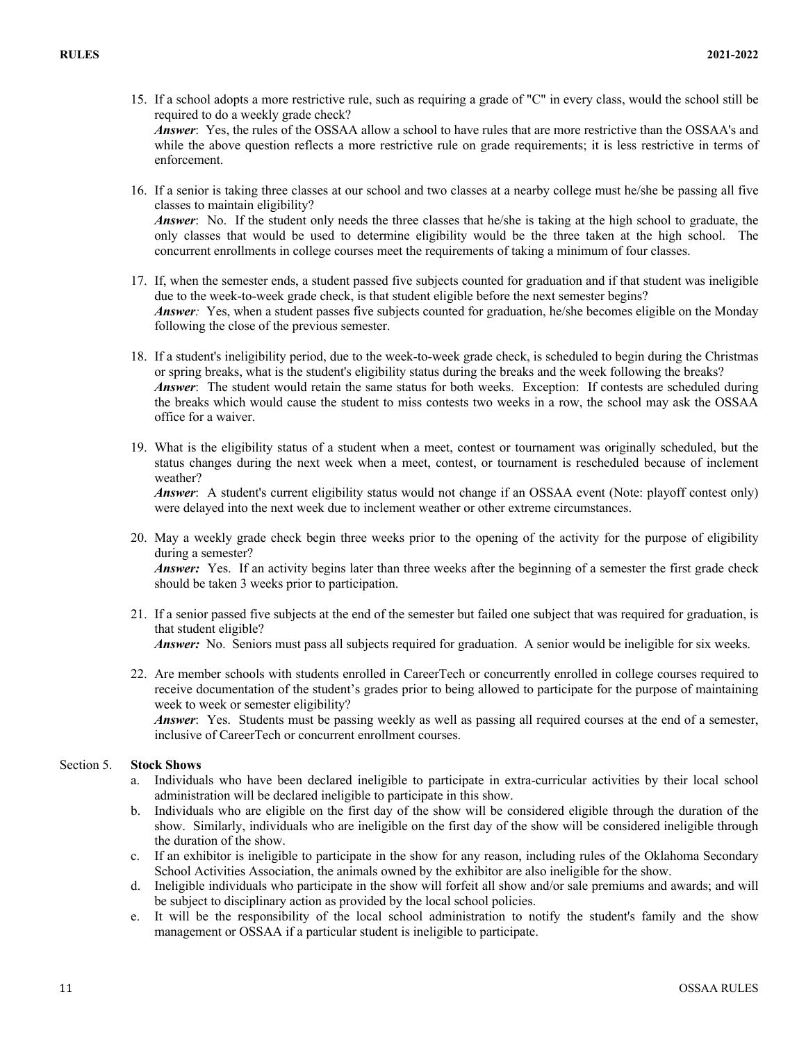15. If a school adopts a more restrictive rule, such as requiring a grade of "C" in every class, would the school still be required to do a weekly grade check? *Answer*: Yes, the rules of the OSSAA allow a school to have rules that are more restrictive than the OSSAA's and

while the above question reflects a more restrictive rule on grade requirements; it is less restrictive in terms of enforcement.

16. If a senior is taking three classes at our school and two classes at a nearby college must he/she be passing all five classes to maintain eligibility?

*Answer*: No. If the student only needs the three classes that he/she is taking at the high school to graduate, the only classes that would be used to determine eligibility would be the three taken at the high school. The concurrent enrollments in college courses meet the requirements of taking a minimum of four classes.

- 17. If, when the semester ends, a student passed five subjects counted for graduation and if that student was ineligible due to the week-to-week grade check, is that student eligible before the next semester begins? *Answer:* Yes, when a student passes five subjects counted for graduation, he/she becomes eligible on the Monday following the close of the previous semester.
- 18. If a student's ineligibility period, due to the week-to-week grade check, is scheduled to begin during the Christmas or spring breaks, what is the student's eligibility status during the breaks and the week following the breaks? *Answer*: The student would retain the same status for both weeks. Exception: If contests are scheduled during the breaks which would cause the student to miss contests two weeks in a row, the school may ask the OSSAA office for a waiver.
- 19. What is the eligibility status of a student when a meet, contest or tournament was originally scheduled, but the status changes during the next week when a meet, contest, or tournament is rescheduled because of inclement weather?

*Answer*: A student's current eligibility status would not change if an OSSAA event (Note: playoff contest only) were delayed into the next week due to inclement weather or other extreme circumstances.

- 20. May a weekly grade check begin three weeks prior to the opening of the activity for the purpose of eligibility during a semester? *Answer:* Yes. If an activity begins later than three weeks after the beginning of a semester the first grade check should be taken 3 weeks prior to participation.
- 21. If a senior passed five subjects at the end of the semester but failed one subject that was required for graduation, is that student eligible? *Answer:* No. Seniors must pass all subjects required for graduation. A senior would be ineligible for six weeks.
- 22. Are member schools with students enrolled in CareerTech or concurrently enrolled in college courses required to receive documentation of the student's grades prior to being allowed to participate for the purpose of maintaining week to week or semester eligibility?

*Answer*: Yes. Students must be passing weekly as well as passing all required courses at the end of a semester, inclusive of CareerTech or concurrent enrollment courses.

#### Section 5. **Stock Shows**

- a. Individuals who have been declared ineligible to participate in extra-curricular activities by their local school administration will be declared ineligible to participate in this show.
- b. Individuals who are eligible on the first day of the show will be considered eligible through the duration of the show. Similarly, individuals who are ineligible on the first day of the show will be considered ineligible through the duration of the show.
- c. If an exhibitor is ineligible to participate in the show for any reason, including rules of the Oklahoma Secondary School Activities Association, the animals owned by the exhibitor are also ineligible for the show.
- d. Ineligible individuals who participate in the show will forfeit all show and/or sale premiums and awards; and will be subject to disciplinary action as provided by the local school policies.
- e. It will be the responsibility of the local school administration to notify the student's family and the show management or OSSAA if a particular student is ineligible to participate.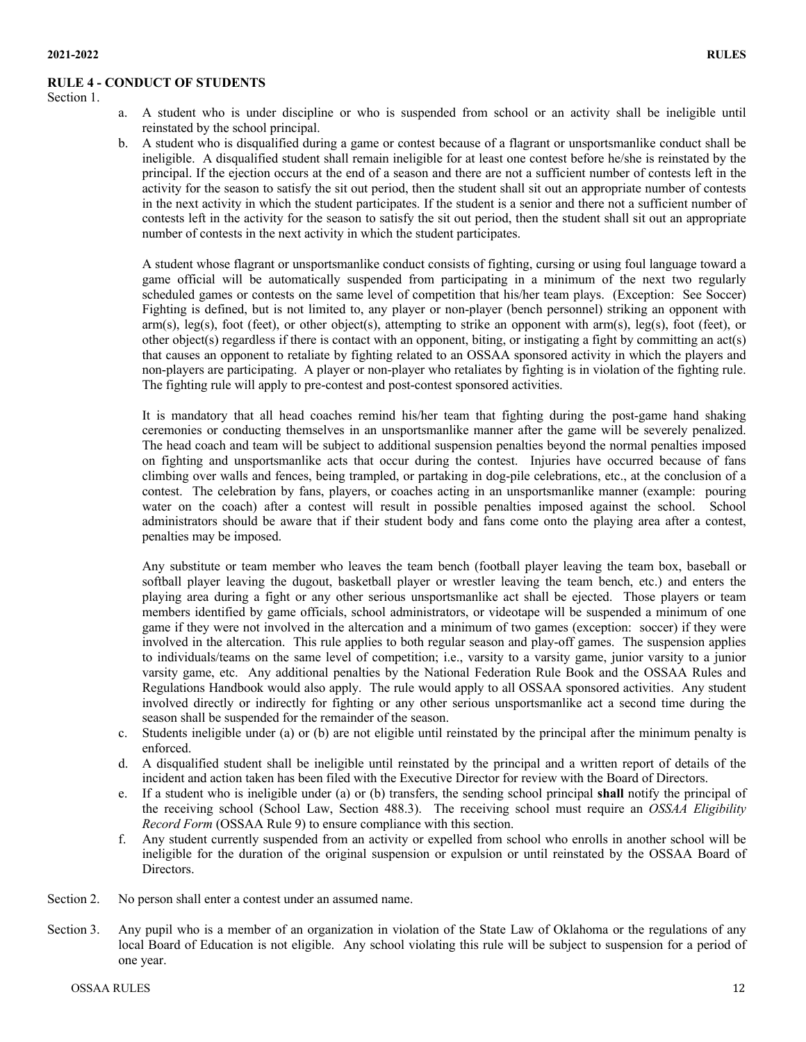#### **RULE 4 - CONDUCT OF STUDENTS**

Section 1.

- a. A student who is under discipline or who is suspended from school or an activity shall be ineligible until reinstated by the school principal.
- b. A student who is disqualified during a game or contest because of a flagrant or unsportsmanlike conduct shall be ineligible. A disqualified student shall remain ineligible for at least one contest before he/she is reinstated by the principal. If the ejection occurs at the end of a season and there are not a sufficient number of contests left in the activity for the season to satisfy the sit out period, then the student shall sit out an appropriate number of contests in the next activity in which the student participates. If the student is a senior and there not a sufficient number of contests left in the activity for the season to satisfy the sit out period, then the student shall sit out an appropriate number of contests in the next activity in which the student participates.

A student whose flagrant or unsportsmanlike conduct consists of fighting, cursing or using foul language toward a game official will be automatically suspended from participating in a minimum of the next two regularly scheduled games or contests on the same level of competition that his/her team plays. (Exception: See Soccer) Fighting is defined, but is not limited to, any player or non-player (bench personnel) striking an opponent with  $arm(s)$ , leg(s), foot (feet), or other object(s), attempting to strike an opponent with  $arm(s)$ , leg(s), foot (feet), or other object(s) regardless if there is contact with an opponent, biting, or instigating a fight by committing an act(s) that causes an opponent to retaliate by fighting related to an OSSAA sponsored activity in which the players and non-players are participating. A player or non-player who retaliates by fighting is in violation of the fighting rule. The fighting rule will apply to pre-contest and post-contest sponsored activities.

It is mandatory that all head coaches remind his/her team that fighting during the post-game hand shaking ceremonies or conducting themselves in an unsportsmanlike manner after the game will be severely penalized. The head coach and team will be subject to additional suspension penalties beyond the normal penalties imposed on fighting and unsportsmanlike acts that occur during the contest. Injuries have occurred because of fans climbing over walls and fences, being trampled, or partaking in dog-pile celebrations, etc., at the conclusion of a contest. The celebration by fans, players, or coaches acting in an unsportsmanlike manner (example: pouring water on the coach) after a contest will result in possible penalties imposed against the school. School administrators should be aware that if their student body and fans come onto the playing area after a contest, penalties may be imposed.

Any substitute or team member who leaves the team bench (football player leaving the team box, baseball or softball player leaving the dugout, basketball player or wrestler leaving the team bench, etc.) and enters the playing area during a fight or any other serious unsportsmanlike act shall be ejected. Those players or team members identified by game officials, school administrators, or videotape will be suspended a minimum of one game if they were not involved in the altercation and a minimum of two games (exception: soccer) if they were involved in the altercation. This rule applies to both regular season and play-off games. The suspension applies to individuals/teams on the same level of competition; i.e., varsity to a varsity game, junior varsity to a junior varsity game, etc. Any additional penalties by the National Federation Rule Book and the OSSAA Rules and Regulations Handbook would also apply. The rule would apply to all OSSAA sponsored activities. Any student involved directly or indirectly for fighting or any other serious unsportsmanlike act a second time during the season shall be suspended for the remainder of the season.

- c. Students ineligible under (a) or (b) are not eligible until reinstated by the principal after the minimum penalty is enforced.
- d. A disqualified student shall be ineligible until reinstated by the principal and a written report of details of the incident and action taken has been filed with the Executive Director for review with the Board of Directors.
- e. If a student who is ineligible under (a) or (b) transfers, the sending school principal **shall** notify the principal of the receiving school (School Law, Section 488.3). The receiving school must require an *OSSAA Eligibility Record Form* (OSSAA Rule 9) to ensure compliance with this section.
- f. Any student currently suspended from an activity or expelled from school who enrolls in another school will be ineligible for the duration of the original suspension or expulsion or until reinstated by the OSSAA Board of Directors.
- Section 2. No person shall enter a contest under an assumed name.
- Section 3. Any pupil who is a member of an organization in violation of the State Law of Oklahoma or the regulations of any local Board of Education is not eligible. Any school violating this rule will be subject to suspension for a period of one year.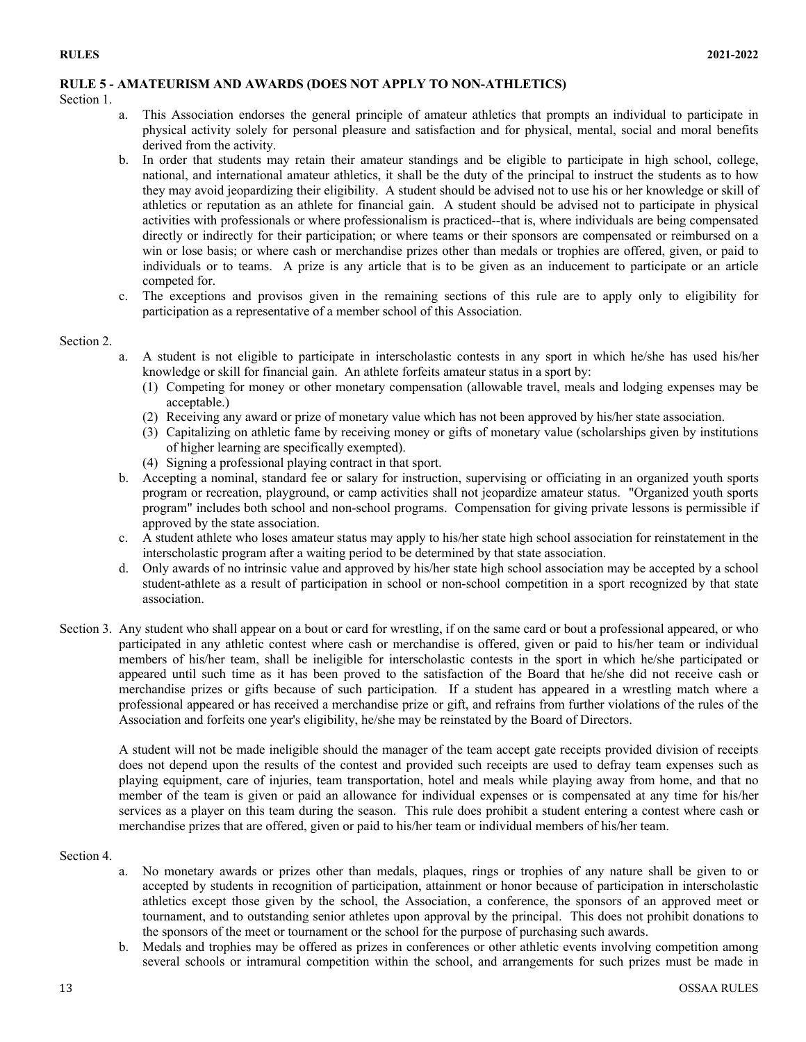# **RULE 5 - AMATEURISM AND AWARDS (DOES NOT APPLY TO NON-ATHLETICS)**

Section 1.

- a. This Association endorses the general principle of amateur athletics that prompts an individual to participate in physical activity solely for personal pleasure and satisfaction and for physical, mental, social and moral benefits derived from the activity.
- b. In order that students may retain their amateur standings and be eligible to participate in high school, college, national, and international amateur athletics, it shall be the duty of the principal to instruct the students as to how they may avoid jeopardizing their eligibility. A student should be advised not to use his or her knowledge or skill of athletics or reputation as an athlete for financial gain. A student should be advised not to participate in physical activities with professionals or where professionalism is practiced--that is, where individuals are being compensated directly or indirectly for their participation; or where teams or their sponsors are compensated or reimbursed on a win or lose basis; or where cash or merchandise prizes other than medals or trophies are offered, given, or paid to individuals or to teams. A prize is any article that is to be given as an inducement to participate or an article competed for.
- c. The exceptions and provisos given in the remaining sections of this rule are to apply only to eligibility for participation as a representative of a member school of this Association.

### Section 2.

- a. A student is not eligible to participate in interscholastic contests in any sport in which he/she has used his/her knowledge or skill for financial gain. An athlete forfeits amateur status in a sport by:
	- (1) Competing for money or other monetary compensation (allowable travel, meals and lodging expenses may be acceptable.)
	- (2) Receiving any award or prize of monetary value which has not been approved by his/her state association.
	- (3) Capitalizing on athletic fame by receiving money or gifts of monetary value (scholarships given by institutions of higher learning are specifically exempted).
	- (4) Signing a professional playing contract in that sport.
- b. Accepting a nominal, standard fee or salary for instruction, supervising or officiating in an organized youth sports program or recreation, playground, or camp activities shall not jeopardize amateur status. "Organized youth sports program" includes both school and non-school programs. Compensation for giving private lessons is permissible if approved by the state association.
- c. A student athlete who loses amateur status may apply to his/her state high school association for reinstatement in the interscholastic program after a waiting period to be determined by that state association.
- d. Only awards of no intrinsic value and approved by his/her state high school association may be accepted by a school student-athlete as a result of participation in school or non-school competition in a sport recognized by that state association.
- Section 3. Any student who shall appear on a bout or card for wrestling, if on the same card or bout a professional appeared, or who participated in any athletic contest where cash or merchandise is offered, given or paid to his/her team or individual members of his/her team, shall be ineligible for interscholastic contests in the sport in which he/she participated or appeared until such time as it has been proved to the satisfaction of the Board that he/she did not receive cash or merchandise prizes or gifts because of such participation. If a student has appeared in a wrestling match where a professional appeared or has received a merchandise prize or gift, and refrains from further violations of the rules of the Association and forfeits one year's eligibility, he/she may be reinstated by the Board of Directors.

A student will not be made ineligible should the manager of the team accept gate receipts provided division of receipts does not depend upon the results of the contest and provided such receipts are used to defray team expenses such as playing equipment, care of injuries, team transportation, hotel and meals while playing away from home, and that no member of the team is given or paid an allowance for individual expenses or is compensated at any time for his/her services as a player on this team during the season. This rule does prohibit a student entering a contest where cash or merchandise prizes that are offered, given or paid to his/her team or individual members of his/her team.

# Section 4.

- a. No monetary awards or prizes other than medals, plaques, rings or trophies of any nature shall be given to or accepted by students in recognition of participation, attainment or honor because of participation in interscholastic athletics except those given by the school, the Association, a conference, the sponsors of an approved meet or tournament, and to outstanding senior athletes upon approval by the principal. This does not prohibit donations to the sponsors of the meet or tournament or the school for the purpose of purchasing such awards.
- b. Medals and trophies may be offered as prizes in conferences or other athletic events involving competition among several schools or intramural competition within the school, and arrangements for such prizes must be made in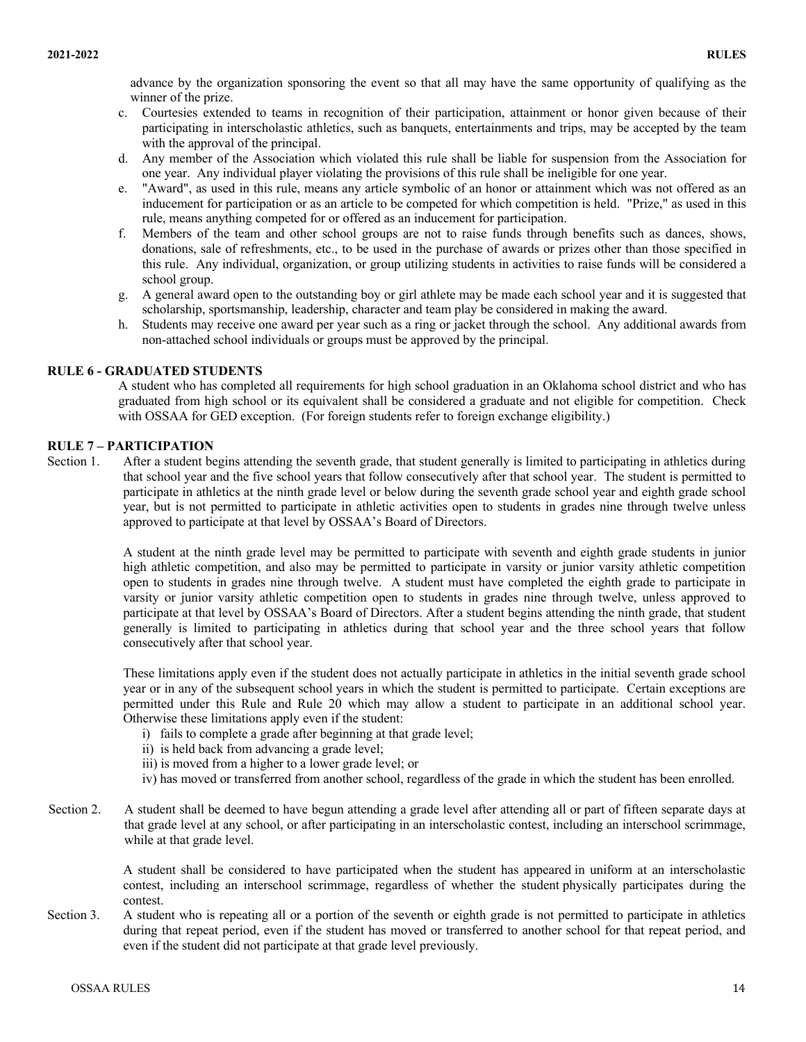advance by the organization sponsoring the event so that all may have the same opportunity of qualifying as the winner of the prize.

- c. Courtesies extended to teams in recognition of their participation, attainment or honor given because of their participating in interscholastic athletics, such as banquets, entertainments and trips, may be accepted by the team with the approval of the principal.
- d. Any member of the Association which violated this rule shall be liable for suspension from the Association for one year. Any individual player violating the provisions of this rule shall be ineligible for one year.
- e. "Award", as used in this rule, means any article symbolic of an honor or attainment which was not offered as an inducement for participation or as an article to be competed for which competition is held. "Prize," as used in this rule, means anything competed for or offered as an inducement for participation.
- f. Members of the team and other school groups are not to raise funds through benefits such as dances, shows, donations, sale of refreshments, etc., to be used in the purchase of awards or prizes other than those specified in this rule. Any individual, organization, or group utilizing students in activities to raise funds will be considered a school group.
- g. A general award open to the outstanding boy or girl athlete may be made each school year and it is suggested that scholarship, sportsmanship, leadership, character and team play be considered in making the award.
- h. Students may receive one award per year such as a ring or jacket through the school. Any additional awards from non-attached school individuals or groups must be approved by the principal.

# **RULE 6 - GRADUATED STUDENTS**

A student who has completed all requirements for high school graduation in an Oklahoma school district and who has graduated from high school or its equivalent shall be considered a graduate and not eligible for competition. Check with OSSAA for GED exception. (For foreign students refer to foreign exchange eligibility.)

#### **RULE 7 – PARTICIPATION**

Section 1. After a student begins attending the seventh grade, that student generally is limited to participating in athletics during that school year and the five school years that follow consecutively after that school year. The student is permitted to participate in athletics at the ninth grade level or below during the seventh grade school year and eighth grade school year, but is not permitted to participate in athletic activities open to students in grades nine through twelve unless approved to participate at that level by OSSAA's Board of Directors.

> A student at the ninth grade level may be permitted to participate with seventh and eighth grade students in junior high athletic competition, and also may be permitted to participate in varsity or junior varsity athletic competition open to students in grades nine through twelve. A student must have completed the eighth grade to participate in varsity or junior varsity athletic competition open to students in grades nine through twelve, unless approved to participate at that level by OSSAA's Board of Directors. After a student begins attending the ninth grade, that student generally is limited to participating in athletics during that school year and the three school years that follow consecutively after that school year.

> These limitations apply even if the student does not actually participate in athletics in the initial seventh grade school year or in any of the subsequent school years in which the student is permitted to participate. Certain exceptions are permitted under this Rule and Rule 20 which may allow a student to participate in an additional school year. Otherwise these limitations apply even if the student:

- i) fails to complete a grade after beginning at that grade level;
- ii) is held back from advancing a grade level;
- iii) is moved from a higher to a lower grade level; or
- iv) has moved or transferred from another school, regardless of the grade in which the student has been enrolled.
- Section 2. A student shall be deemed to have begun attending a grade level after attending all or part of fifteen separate days at that grade level at any school, or after participating in an interscholastic contest, including an interschool scrimmage, while at that grade level.

A student shall be considered to have participated when the student has appeared in uniform at an interscholastic contest, including an interschool scrimmage, regardless of whether the student physically participates during the contest.

Section 3. A student who is repeating all or a portion of the seventh or eighth grade is not permitted to participate in athletics during that repeat period, even if the student has moved or transferred to another school for that repeat period, and even if the student did not participate at that grade level previously.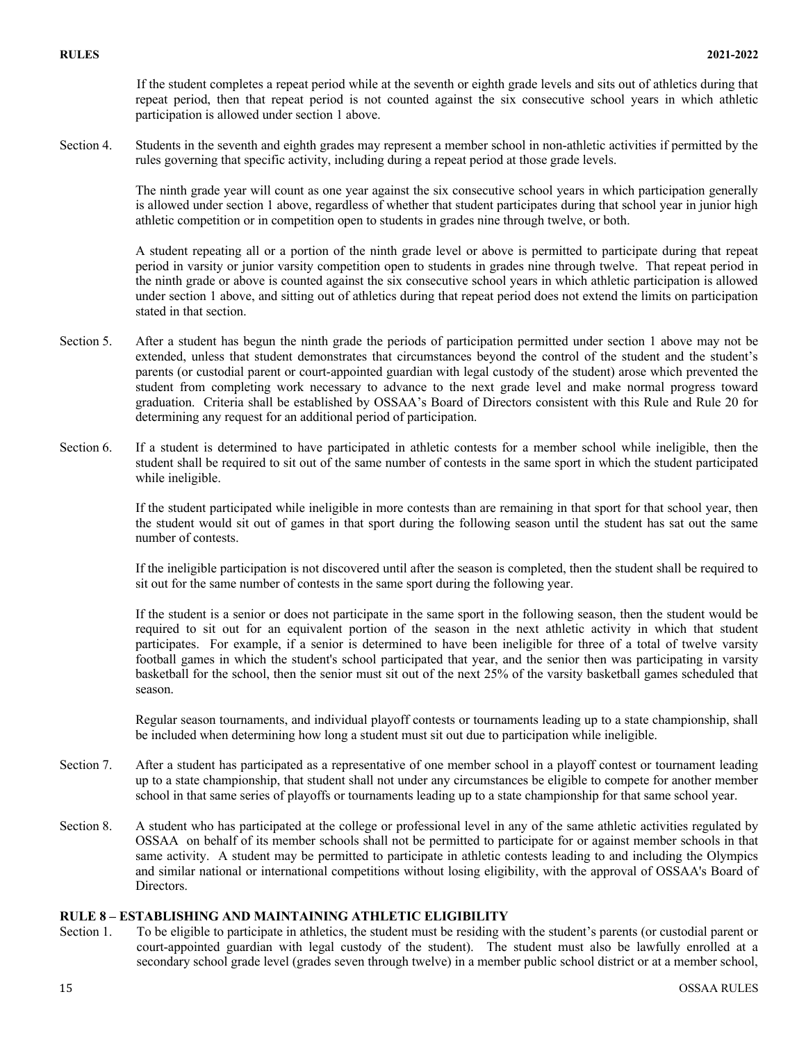If the student completes a repeat period while at the seventh or eighth grade levels and sits out of athletics during that repeat period, then that repeat period is not counted against the six consecutive school years in which athletic participation is allowed under section 1 above.

Section 4. Students in the seventh and eighth grades may represent a member school in non-athletic activities if permitted by the rules governing that specific activity, including during a repeat period at those grade levels.

> The ninth grade year will count as one year against the six consecutive school years in which participation generally is allowed under section 1 above, regardless of whether that student participates during that school year in junior high athletic competition or in competition open to students in grades nine through twelve, or both.

> A student repeating all or a portion of the ninth grade level or above is permitted to participate during that repeat period in varsity or junior varsity competition open to students in grades nine through twelve. That repeat period in the ninth grade or above is counted against the six consecutive school years in which athletic participation is allowed under section 1 above, and sitting out of athletics during that repeat period does not extend the limits on participation stated in that section.

- Section 5. After a student has begun the ninth grade the periods of participation permitted under section 1 above may not be extended, unless that student demonstrates that circumstances beyond the control of the student and the student's parents (or custodial parent or court-appointed guardian with legal custody of the student) arose which prevented the student from completing work necessary to advance to the next grade level and make normal progress toward graduation. Criteria shall be established by OSSAA's Board of Directors consistent with this Rule and Rule 20 for determining any request for an additional period of participation.
- Section 6. If a student is determined to have participated in athletic contests for a member school while ineligible, then the student shall be required to sit out of the same number of contests in the same sport in which the student participated while ineligible.

If the student participated while ineligible in more contests than are remaining in that sport for that school year, then the student would sit out of games in that sport during the following season until the student has sat out the same number of contests.

If the ineligible participation is not discovered until after the season is completed, then the student shall be required to sit out for the same number of contests in the same sport during the following year.

If the student is a senior or does not participate in the same sport in the following season, then the student would be required to sit out for an equivalent portion of the season in the next athletic activity in which that student participates. For example, if a senior is determined to have been ineligible for three of a total of twelve varsity football games in which the student's school participated that year, and the senior then was participating in varsity basketball for the school, then the senior must sit out of the next 25% of the varsity basketball games scheduled that season.

Regular season tournaments, and individual playoff contests or tournaments leading up to a state championship, shall be included when determining how long a student must sit out due to participation while ineligible.

- Section 7. After a student has participated as a representative of one member school in a playoff contest or tournament leading up to a state championship, that student shall not under any circumstances be eligible to compete for another member school in that same series of playoffs or tournaments leading up to a state championship for that same school year.
- Section 8. A student who has participated at the college or professional level in any of the same athletic activities regulated by OSSAA on behalf of its member schools shall not be permitted to participate for or against member schools in that same activity. A student may be permitted to participate in athletic contests leading to and including the Olympics and similar national or international competitions without losing eligibility, with the approval of OSSAA's Board of Directors.

# **RULE 8 – ESTABLISHING AND MAINTAINING ATHLETIC ELIGIBILITY**

Section 1. To be eligible to participate in athletics, the student must be residing with the student's parents (or custodial parent or court-appointed guardian with legal custody of the student). The student must also be lawfully enrolled at a secondary school grade level (grades seven through twelve) in a member public school district or at a member school,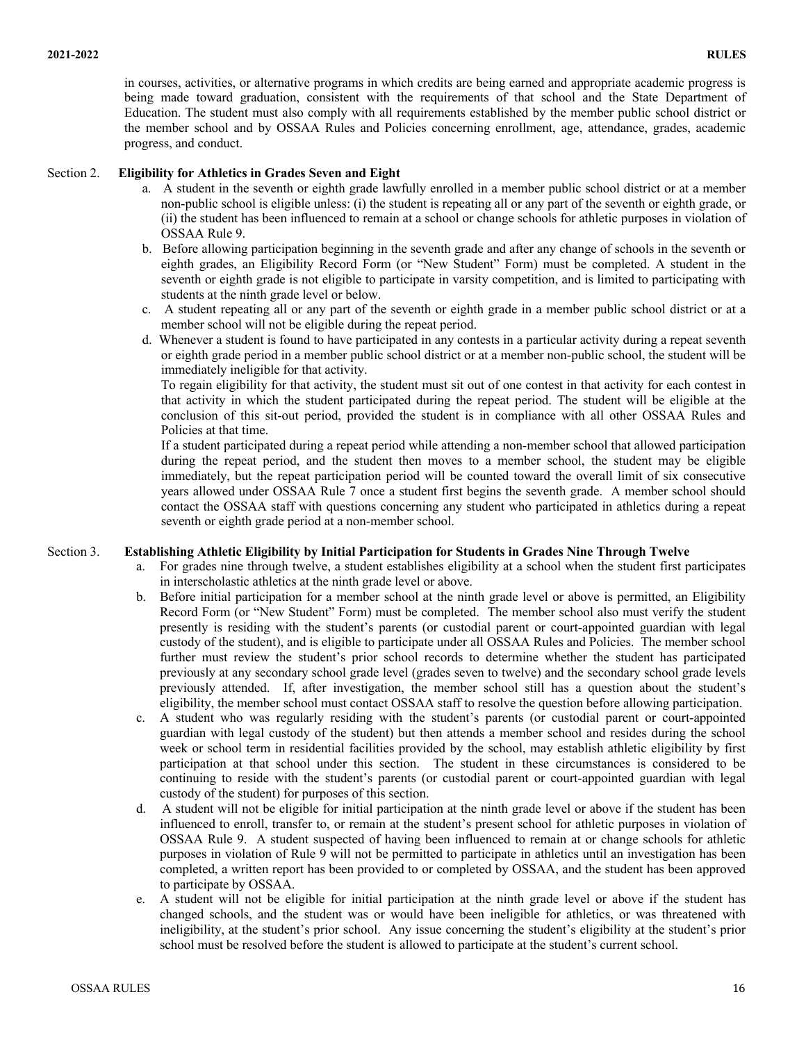in courses, activities, or alternative programs in which credits are being earned and appropriate academic progress is being made toward graduation, consistent with the requirements of that school and the State Department of Education. The student must also comply with all requirements established by the member public school district or the member school and by OSSAA Rules and Policies concerning enrollment, age, attendance, grades, academic progress, and conduct.

### Section 2. **Eligibility for Athletics in Grades Seven and Eight**

- a. A student in the seventh or eighth grade lawfully enrolled in a member public school district or at a member non-public school is eligible unless: (i) the student is repeating all or any part of the seventh or eighth grade, or (ii) the student has been influenced to remain at a school or change schools for athletic purposes in violation of OSSAA Rule 9.
- b. Before allowing participation beginning in the seventh grade and after any change of schools in the seventh or eighth grades, an Eligibility Record Form (or "New Student" Form) must be completed. A student in the seventh or eighth grade is not eligible to participate in varsity competition, and is limited to participating with students at the ninth grade level or below.
- c. A student repeating all or any part of the seventh or eighth grade in a member public school district or at a member school will not be eligible during the repeat period.
- d. Whenever a student is found to have participated in any contests in a particular activity during a repeat seventh or eighth grade period in a member public school district or at a member non-public school, the student will be immediately ineligible for that activity.

To regain eligibility for that activity, the student must sit out of one contest in that activity for each contest in that activity in which the student participated during the repeat period. The student will be eligible at the conclusion of this sit-out period, provided the student is in compliance with all other OSSAA Rules and Policies at that time.

If a student participated during a repeat period while attending a non-member school that allowed participation during the repeat period, and the student then moves to a member school, the student may be eligible immediately, but the repeat participation period will be counted toward the overall limit of six consecutive years allowed under OSSAA Rule 7 once a student first begins the seventh grade. A member school should contact the OSSAA staff with questions concerning any student who participated in athletics during a repeat seventh or eighth grade period at a non-member school.

# Section 3. **Establishing Athletic Eligibility by Initial Participation for Students in Grades Nine Through Twelve**

- a. For grades nine through twelve, a student establishes eligibility at a school when the student first participates in interscholastic athletics at the ninth grade level or above.
- b. Before initial participation for a member school at the ninth grade level or above is permitted, an Eligibility Record Form (or "New Student" Form) must be completed. The member school also must verify the student presently is residing with the student's parents (or custodial parent or court-appointed guardian with legal custody of the student), and is eligible to participate under all OSSAA Rules and Policies. The member school further must review the student's prior school records to determine whether the student has participated previously at any secondary school grade level (grades seven to twelve) and the secondary school grade levels previously attended. If, after investigation, the member school still has a question about the student's eligibility, the member school must contact OSSAA staff to resolve the question before allowing participation.
- c. A student who was regularly residing with the student's parents (or custodial parent or court-appointed guardian with legal custody of the student) but then attends a member school and resides during the school week or school term in residential facilities provided by the school, may establish athletic eligibility by first participation at that school under this section. The student in these circumstances is considered to be continuing to reside with the student's parents (or custodial parent or court-appointed guardian with legal custody of the student) for purposes of this section.
- d. A student will not be eligible for initial participation at the ninth grade level or above if the student has been influenced to enroll, transfer to, or remain at the student's present school for athletic purposes in violation of OSSAA Rule 9. A student suspected of having been influenced to remain at or change schools for athletic purposes in violation of Rule 9 will not be permitted to participate in athletics until an investigation has been completed, a written report has been provided to or completed by OSSAA, and the student has been approved to participate by OSSAA.
- e. A student will not be eligible for initial participation at the ninth grade level or above if the student has changed schools, and the student was or would have been ineligible for athletics, or was threatened with ineligibility, at the student's prior school. Any issue concerning the student's eligibility at the student's prior school must be resolved before the student is allowed to participate at the student's current school.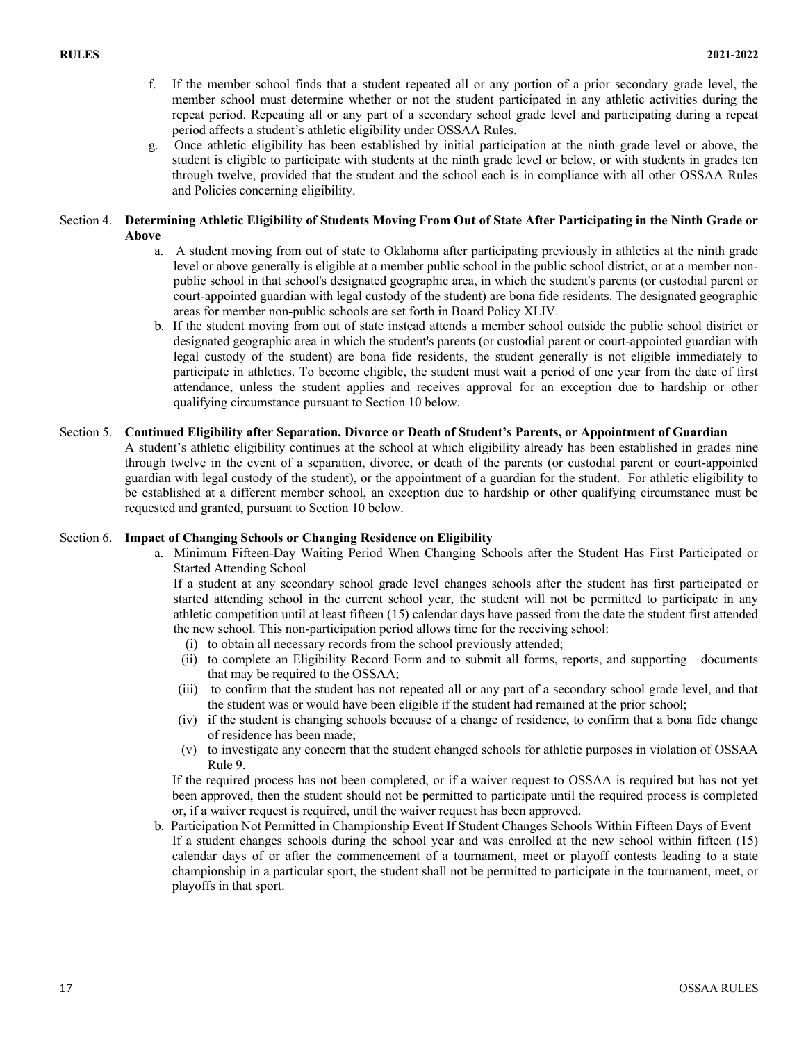- f. If the member school finds that a student repeated all or any portion of a prior secondary grade level, the member school must determine whether or not the student participated in any athletic activities during the repeat period. Repeating all or any part of a secondary school grade level and participating during a repeat period affects a student's athletic eligibility under OSSAA Rules.
- g. Once athletic eligibility has been established by initial participation at the ninth grade level or above, the student is eligible to participate with students at the ninth grade level or below, or with students in grades ten through twelve, provided that the student and the school each is in compliance with all other OSSAA Rules and Policies concerning eligibility.

# Section 4. **Determining Athletic Eligibility of Students Moving From Out of State After Participating in the Ninth Grade or Above**

- a. A student moving from out of state to Oklahoma after participating previously in athletics at the ninth grade level or above generally is eligible at a member public school in the public school district, or at a member nonpublic school in that school's designated geographic area, in which the student's parents (or custodial parent or court-appointed guardian with legal custody of the student) are bona fide residents. The designated geographic areas for member non-public schools are set forth in Board Policy XLIV.
- b. If the student moving from out of state instead attends a member school outside the public school district or designated geographic area in which the student's parents (or custodial parent or court-appointed guardian with legal custody of the student) are bona fide residents, the student generally is not eligible immediately to participate in athletics. To become eligible, the student must wait a period of one year from the date of first attendance, unless the student applies and receives approval for an exception due to hardship or other qualifying circumstance pursuant to Section 10 below.
- Section 5. **Continued Eligibility after Separation, Divorce or Death of Student's Parents, or Appointment of Guardian** A student's athletic eligibility continues at the school at which eligibility already has been established in grades nine through twelve in the event of a separation, divorce, or death of the parents (or custodial parent or court-appointed guardian with legal custody of the student), or the appointment of a guardian for the student. For athletic eligibility to be established at a different member school, an exception due to hardship or other qualifying circumstance must be requested and granted, pursuant to Section 10 below.

# Section 6. **Impact of Changing Schools or Changing Residence on Eligibility**

a. Minimum Fifteen-Day Waiting Period When Changing Schools after the Student Has First Participated or Started Attending School

If a student at any secondary school grade level changes schools after the student has first participated or started attending school in the current school year, the student will not be permitted to participate in any athletic competition until at least fifteen (15) calendar days have passed from the date the student first attended the new school. This non-participation period allows time for the receiving school:

- (i) to obtain all necessary records from the school previously attended;
- (ii) to complete an Eligibility Record Form and to submit all forms, reports, and supporting documents that may be required to the OSSAA;
- (iii) to confirm that the student has not repeated all or any part of a secondary school grade level, and that the student was or would have been eligible if the student had remained at the prior school;
- (iv) if the student is changing schools because of a change of residence, to confirm that a bona fide change of residence has been made;
- (v) to investigate any concern that the student changed schools for athletic purposes in violation of OSSAA Rule 9.

If the required process has not been completed, or if a waiver request to OSSAA is required but has not yet been approved, then the student should not be permitted to participate until the required process is completed or, if a waiver request is required, until the waiver request has been approved.

b. Participation Not Permitted in Championship Event If Student Changes Schools Within Fifteen Days of Event If a student changes schools during the school year and was enrolled at the new school within fifteen (15) calendar days of or after the commencement of a tournament, meet or playoff contests leading to a state championship in a particular sport, the student shall not be permitted to participate in the tournament, meet, or playoffs in that sport.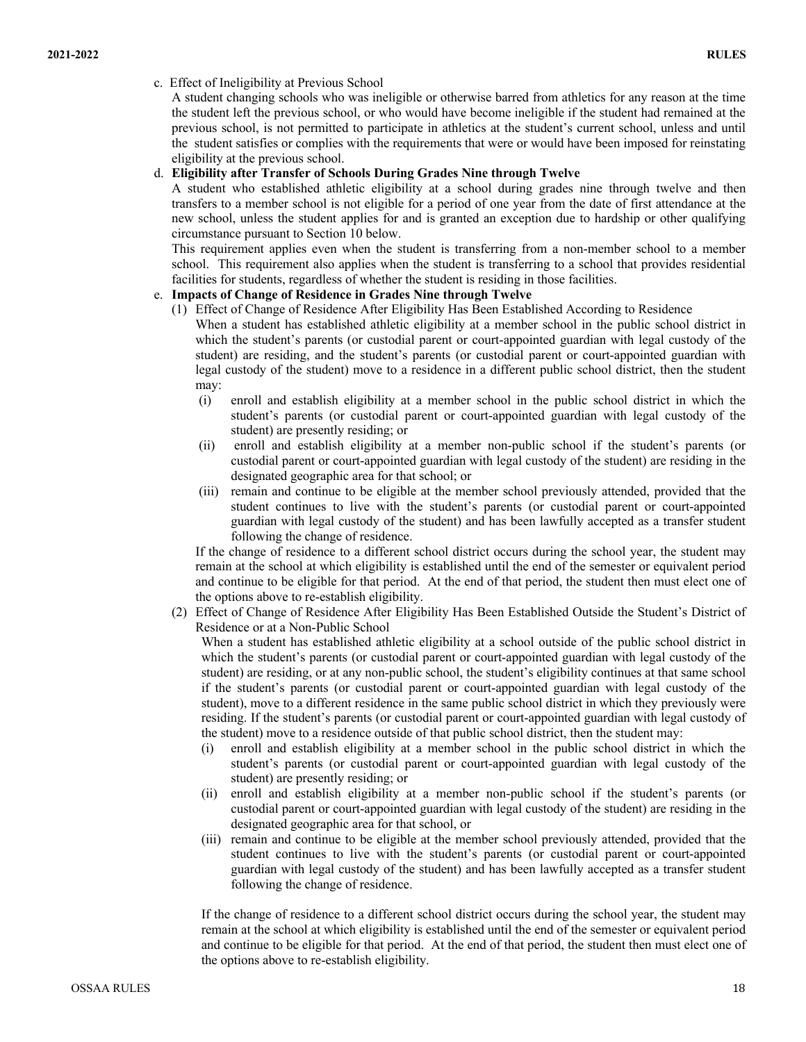### c. Effect of Ineligibility at Previous School

A student changing schools who was ineligible or otherwise barred from athletics for any reason at the time the student left the previous school, or who would have become ineligible if the student had remained at the previous school, is not permitted to participate in athletics at the student's current school, unless and until the student satisfies or complies with the requirements that were or would have been imposed for reinstating eligibility at the previous school.

### d. **Eligibility after Transfer of Schools During Grades Nine through Twelve**

A student who established athletic eligibility at a school during grades nine through twelve and then transfers to a member school is not eligible for a period of one year from the date of first attendance at the new school, unless the student applies for and is granted an exception due to hardship or other qualifying circumstance pursuant to Section 10 below.

This requirement applies even when the student is transferring from a non-member school to a member school. This requirement also applies when the student is transferring to a school that provides residential facilities for students, regardless of whether the student is residing in those facilities.

# e. **Impacts of Change of Residence in Grades Nine through Twelve**

- (1) Effect of Change of Residence After Eligibility Has Been Established According to Residence When a student has established athletic eligibility at a member school in the public school district in which the student's parents (or custodial parent or court-appointed guardian with legal custody of the student) are residing, and the student's parents (or custodial parent or court-appointed guardian with legal custody of the student) move to a residence in a different public school district, then the student may:
	- (i) enroll and establish eligibility at a member school in the public school district in which the student's parents (or custodial parent or court-appointed guardian with legal custody of the student) are presently residing; or
	- (ii) enroll and establish eligibility at a member non-public school if the student's parents (or custodial parent or court-appointed guardian with legal custody of the student) are residing in the designated geographic area for that school; or
	- (iii) remain and continue to be eligible at the member school previously attended, provided that the student continues to live with the student's parents (or custodial parent or court-appointed guardian with legal custody of the student) and has been lawfully accepted as a transfer student following the change of residence.

If the change of residence to a different school district occurs during the school year, the student may remain at the school at which eligibility is established until the end of the semester or equivalent period and continue to be eligible for that period. At the end of that period, the student then must elect one of the options above to re-establish eligibility.

(2) Effect of Change of Residence After Eligibility Has Been Established Outside the Student's District of Residence or at a Non-Public School

When a student has established athletic eligibility at a school outside of the public school district in which the student's parents (or custodial parent or court-appointed guardian with legal custody of the student) are residing, or at any non-public school, the student's eligibility continues at that same school if the student's parents (or custodial parent or court-appointed guardian with legal custody of the student), move to a different residence in the same public school district in which they previously were residing. If the student's parents (or custodial parent or court-appointed guardian with legal custody of the student) move to a residence outside of that public school district, then the student may:

- (i) enroll and establish eligibility at a member school in the public school district in which the student's parents (or custodial parent or court-appointed guardian with legal custody of the student) are presently residing; or
- (ii) enroll and establish eligibility at a member non-public school if the student's parents (or custodial parent or court-appointed guardian with legal custody of the student) are residing in the designated geographic area for that school, or
- (iii) remain and continue to be eligible at the member school previously attended, provided that the student continues to live with the student's parents (or custodial parent or court-appointed guardian with legal custody of the student) and has been lawfully accepted as a transfer student following the change of residence.

If the change of residence to a different school district occurs during the school year, the student may remain at the school at which eligibility is established until the end of the semester or equivalent period and continue to be eligible for that period. At the end of that period, the student then must elect one of the options above to re-establish eligibility.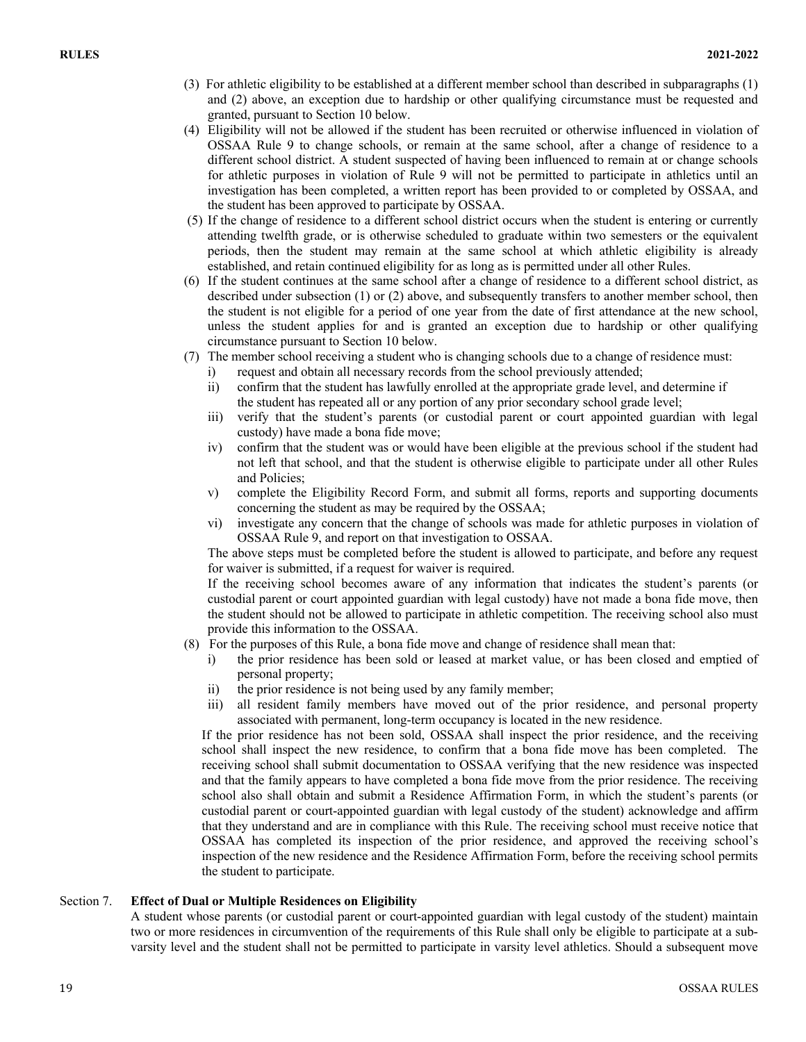- (3) For athletic eligibility to be established at a different member school than described in subparagraphs (1) and (2) above, an exception due to hardship or other qualifying circumstance must be requested and granted, pursuant to Section 10 below.
- (4) Eligibility will not be allowed if the student has been recruited or otherwise influenced in violation of OSSAA Rule 9 to change schools, or remain at the same school, after a change of residence to a different school district. A student suspected of having been influenced to remain at or change schools for athletic purposes in violation of Rule 9 will not be permitted to participate in athletics until an investigation has been completed, a written report has been provided to or completed by OSSAA, and the student has been approved to participate by OSSAA.
- (5) If the change of residence to a different school district occurs when the student is entering or currently attending twelfth grade, or is otherwise scheduled to graduate within two semesters or the equivalent periods, then the student may remain at the same school at which athletic eligibility is already established, and retain continued eligibility for as long as is permitted under all other Rules.
- (6) If the student continues at the same school after a change of residence to a different school district, as described under subsection (1) or (2) above, and subsequently transfers to another member school, then the student is not eligible for a period of one year from the date of first attendance at the new school, unless the student applies for and is granted an exception due to hardship or other qualifying circumstance pursuant to Section 10 below.
- (7) The member school receiving a student who is changing schools due to a change of residence must:
	- i) request and obtain all necessary records from the school previously attended;
	- ii) confirm that the student has lawfully enrolled at the appropriate grade level, and determine if the student has repeated all or any portion of any prior secondary school grade level;
	- iii) verify that the student's parents (or custodial parent or court appointed guardian with legal custody) have made a bona fide move;
	- iv) confirm that the student was or would have been eligible at the previous school if the student had not left that school, and that the student is otherwise eligible to participate under all other Rules and Policies;
	- v) complete the Eligibility Record Form, and submit all forms, reports and supporting documents concerning the student as may be required by the OSSAA;
	- vi) investigate any concern that the change of schools was made for athletic purposes in violation of OSSAA Rule 9, and report on that investigation to OSSAA.

The above steps must be completed before the student is allowed to participate, and before any request for waiver is submitted, if a request for waiver is required.

If the receiving school becomes aware of any information that indicates the student's parents (or custodial parent or court appointed guardian with legal custody) have not made a bona fide move, then the student should not be allowed to participate in athletic competition. The receiving school also must provide this information to the OSSAA.

- (8) For the purposes of this Rule, a bona fide move and change of residence shall mean that:
	- i) the prior residence has been sold or leased at market value, or has been closed and emptied of personal property;
	- ii) the prior residence is not being used by any family member;
	- iii) all resident family members have moved out of the prior residence, and personal property associated with permanent, long-term occupancy is located in the new residence.

If the prior residence has not been sold, OSSAA shall inspect the prior residence, and the receiving school shall inspect the new residence, to confirm that a bona fide move has been completed. The receiving school shall submit documentation to OSSAA verifying that the new residence was inspected and that the family appears to have completed a bona fide move from the prior residence. The receiving school also shall obtain and submit a Residence Affirmation Form, in which the student's parents (or custodial parent or court-appointed guardian with legal custody of the student) acknowledge and affirm that they understand and are in compliance with this Rule. The receiving school must receive notice that OSSAA has completed its inspection of the prior residence, and approved the receiving school's inspection of the new residence and the Residence Affirmation Form, before the receiving school permits the student to participate.

# Section 7. **Effect of Dual or Multiple Residences on Eligibility**

A student whose parents (or custodial parent or court-appointed guardian with legal custody of the student) maintain two or more residences in circumvention of the requirements of this Rule shall only be eligible to participate at a subvarsity level and the student shall not be permitted to participate in varsity level athletics. Should a subsequent move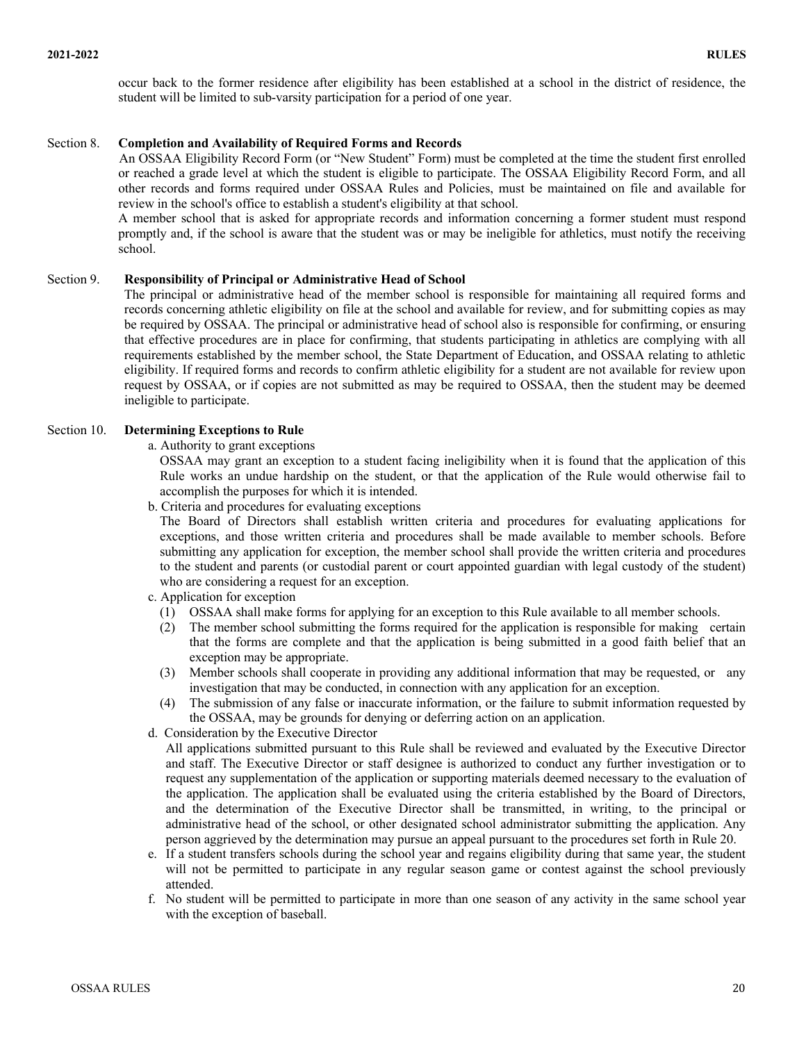occur back to the former residence after eligibility has been established at a school in the district of residence, the student will be limited to sub-varsity participation for a period of one year.

#### Section 8. **Completion and Availability of Required Forms and Records**

 An OSSAA Eligibility Record Form (or "New Student" Form) must be completed at the time the student first enrolled or reached a grade level at which the student is eligible to participate. The OSSAA Eligibility Record Form, and all other records and forms required under OSSAA Rules and Policies, must be maintained on file and available for review in the school's office to establish a student's eligibility at that school.

A member school that is asked for appropriate records and information concerning a former student must respond promptly and, if the school is aware that the student was or may be ineligible for athletics, must notify the receiving school.

#### Section 9. **Responsibility of Principal or Administrative Head of School**

The principal or administrative head of the member school is responsible for maintaining all required forms and records concerning athletic eligibility on file at the school and available for review, and for submitting copies as may be required by OSSAA. The principal or administrative head of school also is responsible for confirming, or ensuring that effective procedures are in place for confirming, that students participating in athletics are complying with all requirements established by the member school, the State Department of Education, and OSSAA relating to athletic eligibility. If required forms and records to confirm athletic eligibility for a student are not available for review upon request by OSSAA, or if copies are not submitted as may be required to OSSAA, then the student may be deemed ineligible to participate.

### Section 10. **Determining Exceptions to Rule**

a. Authority to grant exceptions

OSSAA may grant an exception to a student facing ineligibility when it is found that the application of this Rule works an undue hardship on the student, or that the application of the Rule would otherwise fail to accomplish the purposes for which it is intended.

b. Criteria and procedures for evaluating exceptions

The Board of Directors shall establish written criteria and procedures for evaluating applications for exceptions, and those written criteria and procedures shall be made available to member schools. Before submitting any application for exception, the member school shall provide the written criteria and procedures to the student and parents (or custodial parent or court appointed guardian with legal custody of the student) who are considering a request for an exception.

- c. Application for exception
	- (1) OSSAA shall make forms for applying for an exception to this Rule available to all member schools.
	- (2) The member school submitting the forms required for the application is responsible for making certain that the forms are complete and that the application is being submitted in a good faith belief that an exception may be appropriate.
	- (3) Member schools shall cooperate in providing any additional information that may be requested, or any investigation that may be conducted, in connection with any application for an exception.
	- (4) The submission of any false or inaccurate information, or the failure to submit information requested by the OSSAA, may be grounds for denying or deferring action on an application.
- d. Consideration by the Executive Director

All applications submitted pursuant to this Rule shall be reviewed and evaluated by the Executive Director and staff. The Executive Director or staff designee is authorized to conduct any further investigation or to request any supplementation of the application or supporting materials deemed necessary to the evaluation of the application. The application shall be evaluated using the criteria established by the Board of Directors, and the determination of the Executive Director shall be transmitted, in writing, to the principal or administrative head of the school, or other designated school administrator submitting the application. Any person aggrieved by the determination may pursue an appeal pursuant to the procedures set forth in Rule 20.

- e. If a student transfers schools during the school year and regains eligibility during that same year, the student will not be permitted to participate in any regular season game or contest against the school previously attended.
- f. No student will be permitted to participate in more than one season of any activity in the same school year with the exception of baseball.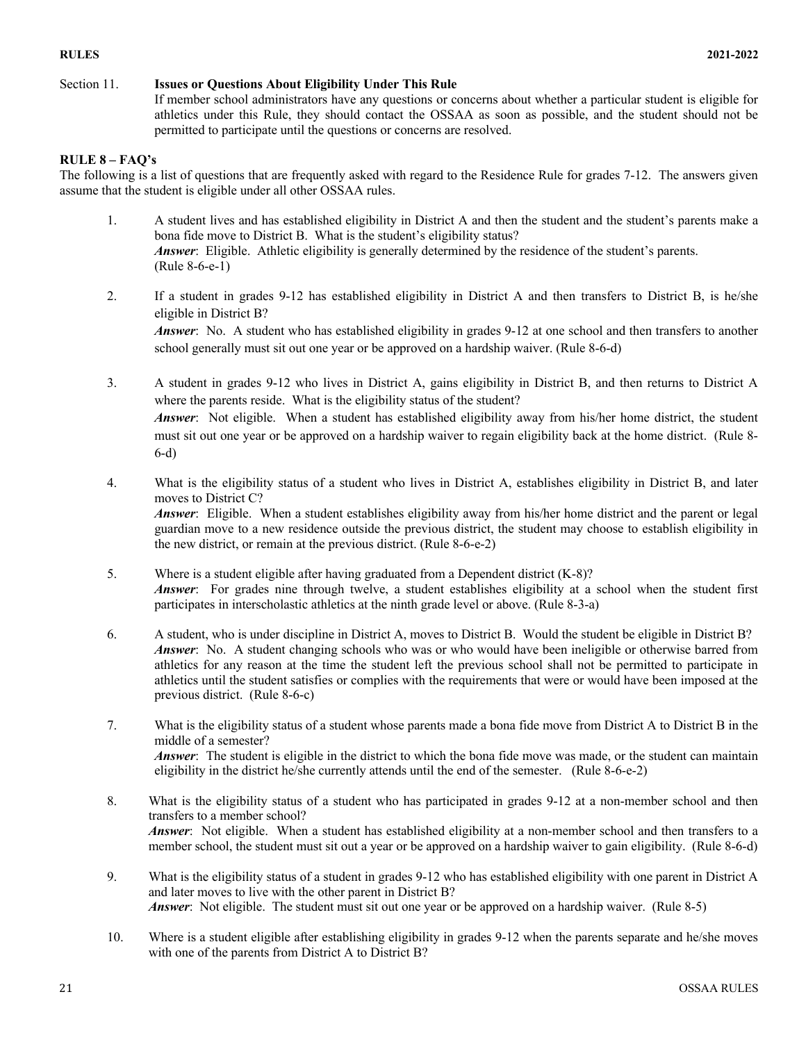# Section 11. **Issues or Questions About Eligibility Under This Rule**

If member school administrators have any questions or concerns about whether a particular student is eligible for athletics under this Rule, they should contact the OSSAA as soon as possible, and the student should not be permitted to participate until the questions or concerns are resolved.

# **RULE 8 – FAQ's**

The following is a list of questions that are frequently asked with regard to the Residence Rule for grades 7-12. The answers given assume that the student is eligible under all other OSSAA rules.

- 1. A student lives and has established eligibility in District A and then the student and the student's parents make a bona fide move to District B. What is the student's eligibility status? *Answer*: Eligible. Athletic eligibility is generally determined by the residence of the student's parents. (Rule 8-6-e-1)
- 2. If a student in grades 9-12 has established eligibility in District A and then transfers to District B, is he/she eligible in District B?

*Answer*: No. A student who has established eligibility in grades 9-12 at one school and then transfers to another school generally must sit out one year or be approved on a hardship waiver. (Rule 8-6-d)

3. A student in grades 9-12 who lives in District A, gains eligibility in District B, and then returns to District A where the parents reside. What is the eligibility status of the student? *Answer*: Not eligible. When a student has established eligibility away from his/her home district, the student must sit out one year or be approved on a hardship waiver to regain eligibility back at the home district. (Rule 8- 6-d)

- 4. What is the eligibility status of a student who lives in District A, establishes eligibility in District B, and later moves to District C? *Answer*: Eligible. When a student establishes eligibility away from his/her home district and the parent or legal guardian move to a new residence outside the previous district, the student may choose to establish eligibility in the new district, or remain at the previous district. (Rule 8-6-e-2)
- 5. Where is a student eligible after having graduated from a Dependent district (K-8)? *Answer*: For grades nine through twelve, a student establishes eligibility at a school when the student first participates in interscholastic athletics at the ninth grade level or above. (Rule 8-3-a)
- 6. A student, who is under discipline in District A, moves to District B. Would the student be eligible in District B? *Answer*: No. A student changing schools who was or who would have been ineligible or otherwise barred from athletics for any reason at the time the student left the previous school shall not be permitted to participate in athletics until the student satisfies or complies with the requirements that were or would have been imposed at the previous district. (Rule 8-6-c)
- 7. What is the eligibility status of a student whose parents made a bona fide move from District A to District B in the middle of a semester? *Answer*: The student is eligible in the district to which the bona fide move was made, or the student can maintain eligibility in the district he/she currently attends until the end of the semester. (Rule 8-6-e-2)
- 8. What is the eligibility status of a student who has participated in grades 9-12 at a non-member school and then transfers to a member school? *Answer*: Not eligible. When a student has established eligibility at a non-member school and then transfers to a member school, the student must sit out a year or be approved on a hardship waiver to gain eligibility. (Rule 8-6-d)
- 9. What is the eligibility status of a student in grades 9-12 who has established eligibility with one parent in District A and later moves to live with the other parent in District B? *Answer*: Not eligible. The student must sit out one year or be approved on a hardship waiver. (Rule 8-5)
- 10. Where is a student eligible after establishing eligibility in grades 9-12 when the parents separate and he/she moves with one of the parents from District A to District B?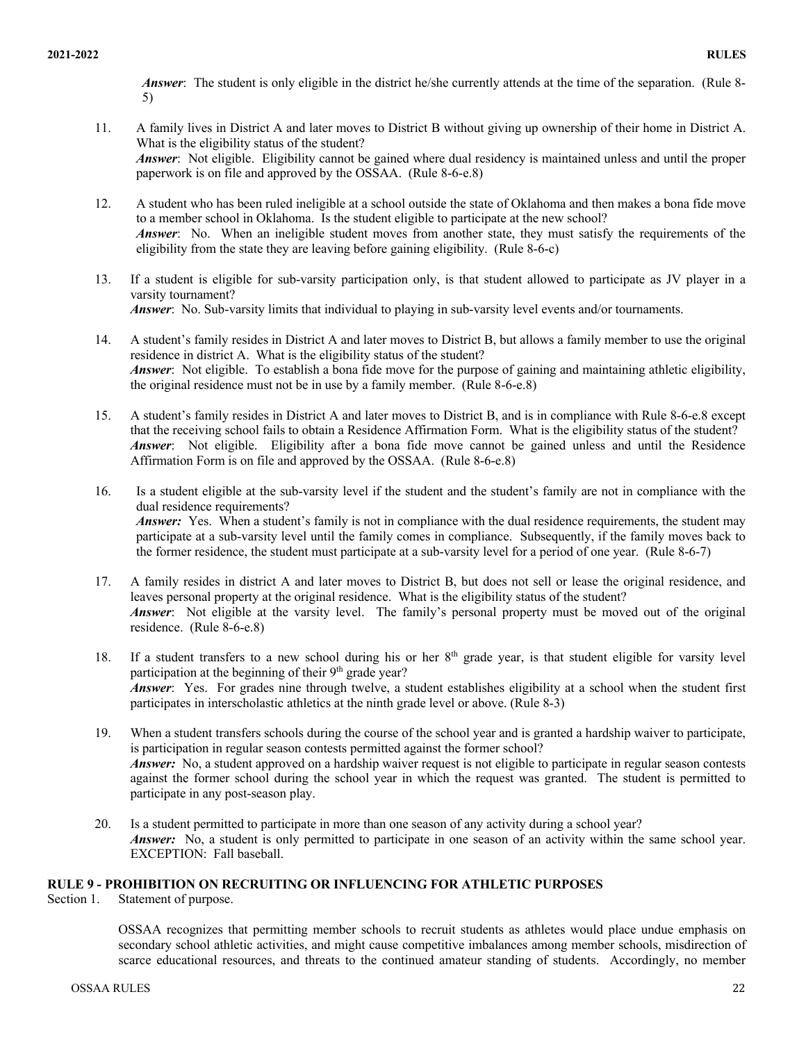*Answer*: The student is only eligible in the district he/she currently attends at the time of the separation. (Rule 8- 5)

- 11. A family lives in District A and later moves to District B without giving up ownership of their home in District A. What is the eligibility status of the student? *Answer*: Not eligible. Eligibility cannot be gained where dual residency is maintained unless and until the proper paperwork is on file and approved by the OSSAA. (Rule 8-6-e.8)
- 12. A student who has been ruled ineligible at a school outside the state of Oklahoma and then makes a bona fide move to a member school in Oklahoma. Is the student eligible to participate at the new school? *Answer*: No. When an ineligible student moves from another state, they must satisfy the requirements of the eligibility from the state they are leaving before gaining eligibility. (Rule 8-6-c)
- 13. If a student is eligible for sub-varsity participation only, is that student allowed to participate as JV player in a varsity tournament? *Answer*: No. Sub-varsity limits that individual to playing in sub-varsity level events and/or tournaments.
- 14. A student's family resides in District A and later moves to District B, but allows a family member to use the original residence in district A. What is the eligibility status of the student? *Answer*: Not eligible. To establish a bona fide move for the purpose of gaining and maintaining athletic eligibility, the original residence must not be in use by a family member. (Rule 8-6-e.8)
- 15. A student's family resides in District A and later moves to District B, and is in compliance with Rule 8-6-e.8 except that the receiving school fails to obtain a Residence Affirmation Form. What is the eligibility status of the student? *Answer*: Not eligible. Eligibility after a bona fide move cannot be gained unless and until the Residence Affirmation Form is on file and approved by the OSSAA. (Rule 8-6-e.8)
- 16. Is a student eligible at the sub-varsity level if the student and the student's family are not in compliance with the dual residence requirements? *Answer:* Yes. When a student's family is not in compliance with the dual residence requirements, the student may participate at a sub-varsity level until the family comes in compliance. Subsequently, if the family moves back to the former residence, the student must participate at a sub-varsity level for a period of one year. (Rule 8-6-7)
- 17. A family resides in district A and later moves to District B, but does not sell or lease the original residence, and leaves personal property at the original residence. What is the eligibility status of the student? *Answer*: Not eligible at the varsity level. The family's personal property must be moved out of the original residence. (Rule 8-6-e.8)
- 18. If a student transfers to a new school during his or her 8<sup>th</sup> grade year, is that student eligible for varsity level participation at the beginning of their 9<sup>th</sup> grade year? *Answer*: Yes. For grades nine through twelve, a student establishes eligibility at a school when the student first participates in interscholastic athletics at the ninth grade level or above. (Rule 8-3)
- 19. When a student transfers schools during the course of the school year and is granted a hardship waiver to participate, is participation in regular season contests permitted against the former school? *Answer:* No, a student approved on a hardship waiver request is not eligible to participate in regular season contests against the former school during the school year in which the request was granted. The student is permitted to participate in any post-season play.
- 20. Is a student permitted to participate in more than one season of any activity during a school year? *Answer*: No, a student is only permitted to participate in one season of an activity within the same school year. EXCEPTION: Fall baseball.

# **RULE 9 - PROHIBITION ON RECRUITING OR INFLUENCING FOR ATHLETIC PURPOSES**

Section 1. Statement of purpose.

OSSAA recognizes that permitting member schools to recruit students as athletes would place undue emphasis on secondary school athletic activities, and might cause competitive imbalances among member schools, misdirection of scarce educational resources, and threats to the continued amateur standing of students. Accordingly, no member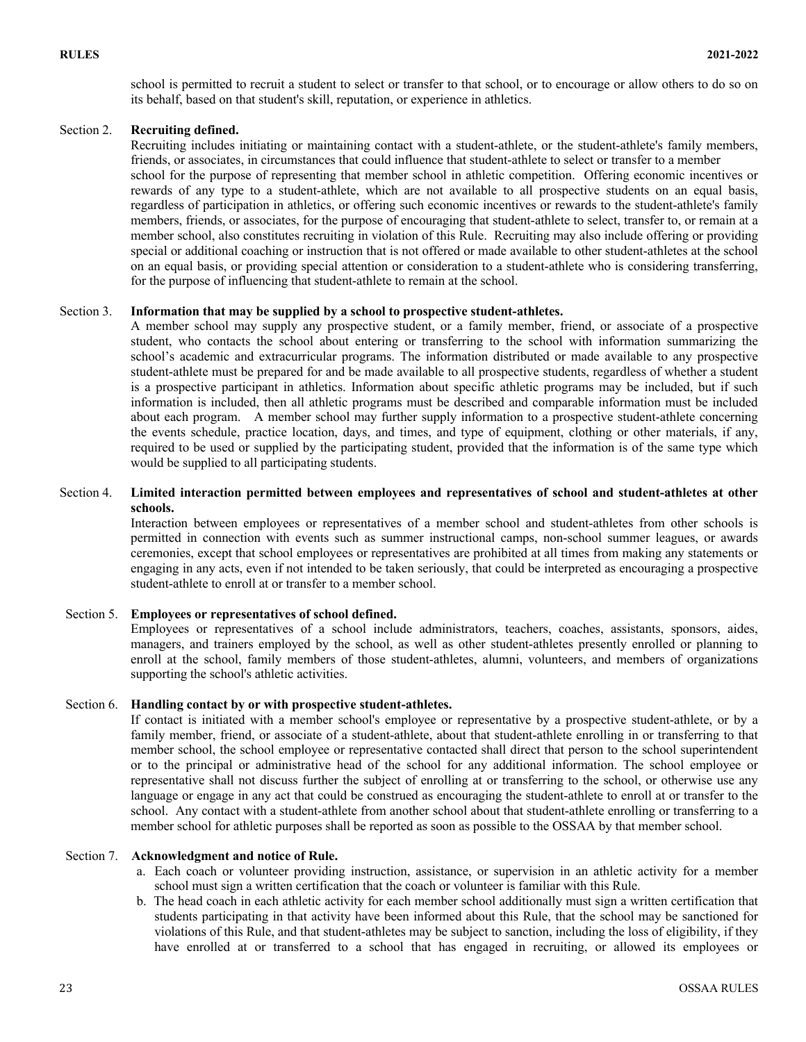school is permitted to recruit a student to select or transfer to that school, or to encourage or allow others to do so on its behalf, based on that student's skill, reputation, or experience in athletics.

# Section 2. **Recruiting defined.**

Recruiting includes initiating or maintaining contact with a student-athlete, or the student-athlete's family members, friends, or associates, in circumstances that could influence that student-athlete to select or transfer to a member school for the purpose of representing that member school in athletic competition. Offering economic incentives or rewards of any type to a student-athlete, which are not available to all prospective students on an equal basis, regardless of participation in athletics, or offering such economic incentives or rewards to the student-athlete's family members, friends, or associates, for the purpose of encouraging that student-athlete to select, transfer to, or remain at a member school, also constitutes recruiting in violation of this Rule. Recruiting may also include offering or providing special or additional coaching or instruction that is not offered or made available to other student-athletes at the school on an equal basis, or providing special attention or consideration to a student-athlete who is considering transferring, for the purpose of influencing that student-athlete to remain at the school.

### Section 3. **Information that may be supplied by a school to prospective student-athletes.**

A member school may supply any prospective student, or a family member, friend, or associate of a prospective student, who contacts the school about entering or transferring to the school with information summarizing the school's academic and extracurricular programs. The information distributed or made available to any prospective student-athlete must be prepared for and be made available to all prospective students, regardless of whether a student is a prospective participant in athletics. Information about specific athletic programs may be included, but if such information is included, then all athletic programs must be described and comparable information must be included about each program. A member school may further supply information to a prospective student-athlete concerning the events schedule, practice location, days, and times, and type of equipment, clothing or other materials, if any, required to be used or supplied by the participating student, provided that the information is of the same type which would be supplied to all participating students.

### Section 4. **Limited interaction permitted between employees and representatives of school and student-athletes at other schools.**

Interaction between employees or representatives of a member school and student-athletes from other schools is permitted in connection with events such as summer instructional camps, non-school summer leagues, or awards ceremonies, except that school employees or representatives are prohibited at all times from making any statements or engaging in any acts, even if not intended to be taken seriously, that could be interpreted as encouraging a prospective student-athlete to enroll at or transfer to a member school.

#### Section 5. **Employees or representatives of school defined.**

Employees or representatives of a school include administrators, teachers, coaches, assistants, sponsors, aides, managers, and trainers employed by the school, as well as other student-athletes presently enrolled or planning to enroll at the school, family members of those student-athletes, alumni, volunteers, and members of organizations supporting the school's athletic activities.

#### Section 6. **Handling contact by or with prospective student-athletes.**

If contact is initiated with a member school's employee or representative by a prospective student-athlete, or by a family member, friend, or associate of a student-athlete, about that student-athlete enrolling in or transferring to that member school, the school employee or representative contacted shall direct that person to the school superintendent or to the principal or administrative head of the school for any additional information. The school employee or representative shall not discuss further the subject of enrolling at or transferring to the school, or otherwise use any language or engage in any act that could be construed as encouraging the student-athlete to enroll at or transfer to the school. Any contact with a student-athlete from another school about that student-athlete enrolling or transferring to a member school for athletic purposes shall be reported as soon as possible to the OSSAA by that member school.

#### Section 7. **Acknowledgment and notice of Rule.**

- a. Each coach or volunteer providing instruction, assistance, or supervision in an athletic activity for a member school must sign a written certification that the coach or volunteer is familiar with this Rule.
- b. The head coach in each athletic activity for each member school additionally must sign a written certification that students participating in that activity have been informed about this Rule, that the school may be sanctioned for violations of this Rule, and that student-athletes may be subject to sanction, including the loss of eligibility, if they have enrolled at or transferred to a school that has engaged in recruiting, or allowed its employees or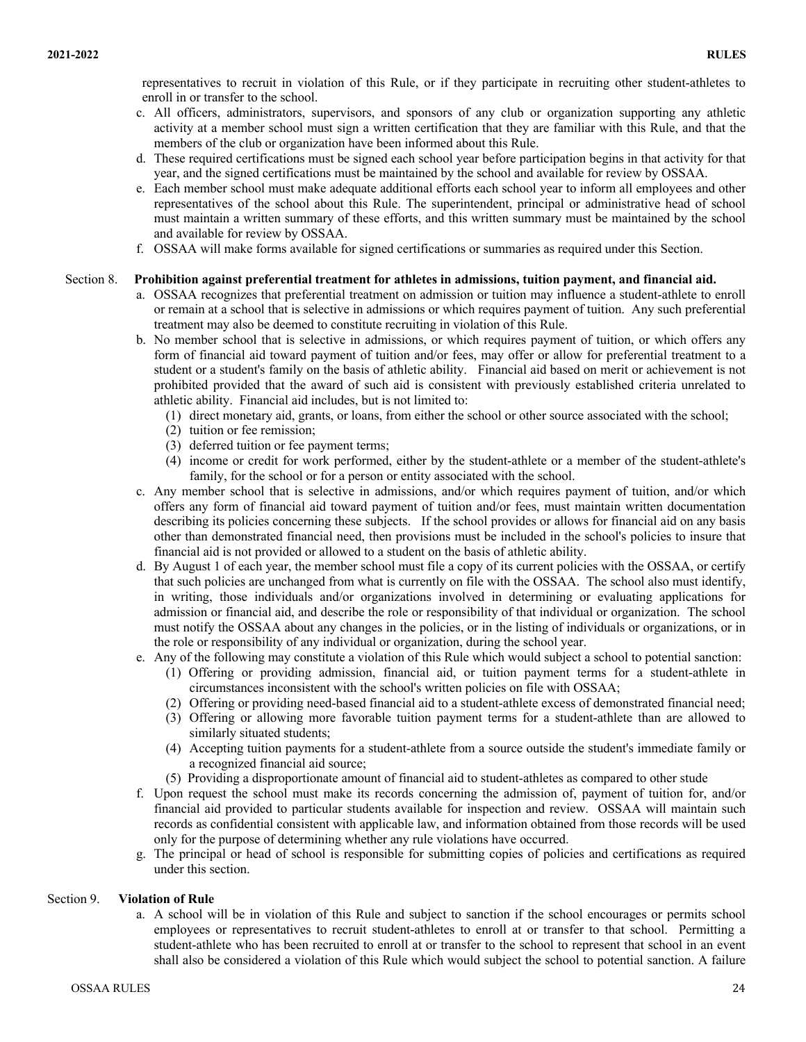representatives to recruit in violation of this Rule, or if they participate in recruiting other student-athletes to enroll in or transfer to the school.

- c. All officers, administrators, supervisors, and sponsors of any club or organization supporting any athletic activity at a member school must sign a written certification that they are familiar with this Rule, and that the members of the club or organization have been informed about this Rule.
- d. These required certifications must be signed each school year before participation begins in that activity for that year, and the signed certifications must be maintained by the school and available for review by OSSAA.
- e. Each member school must make adequate additional efforts each school year to inform all employees and other representatives of the school about this Rule. The superintendent, principal or administrative head of school must maintain a written summary of these efforts, and this written summary must be maintained by the school and available for review by OSSAA.
- f. OSSAA will make forms available for signed certifications or summaries as required under this Section.

### Section 8. **Prohibition against preferential treatment for athletes in admissions, tuition payment, and financial aid.**

- a. OSSAA recognizes that preferential treatment on admission or tuition may influence a student-athlete to enroll or remain at a school that is selective in admissions or which requires payment of tuition. Any such preferential treatment may also be deemed to constitute recruiting in violation of this Rule.
- b. No member school that is selective in admissions, or which requires payment of tuition, or which offers any form of financial aid toward payment of tuition and/or fees, may offer or allow for preferential treatment to a student or a student's family on the basis of athletic ability. Financial aid based on merit or achievement is not prohibited provided that the award of such aid is consistent with previously established criteria unrelated to athletic ability. Financial aid includes, but is not limited to:
	- (1) direct monetary aid, grants, or loans, from either the school or other source associated with the school;
	- (2) tuition or fee remission;
	- (3) deferred tuition or fee payment terms;
	- (4) income or credit for work performed, either by the student-athlete or a member of the student-athlete's family, for the school or for a person or entity associated with the school.
- c. Any member school that is selective in admissions, and/or which requires payment of tuition, and/or which offers any form of financial aid toward payment of tuition and/or fees, must maintain written documentation describing its policies concerning these subjects. If the school provides or allows for financial aid on any basis other than demonstrated financial need, then provisions must be included in the school's policies to insure that financial aid is not provided or allowed to a student on the basis of athletic ability.
- d. By August 1 of each year, the member school must file a copy of its current policies with the OSSAA, or certify that such policies are unchanged from what is currently on file with the OSSAA. The school also must identify, in writing, those individuals and/or organizations involved in determining or evaluating applications for admission or financial aid, and describe the role or responsibility of that individual or organization. The school must notify the OSSAA about any changes in the policies, or in the listing of individuals or organizations, or in the role or responsibility of any individual or organization, during the school year.
- e. Any of the following may constitute a violation of this Rule which would subject a school to potential sanction:
	- (1) Offering or providing admission, financial aid, or tuition payment terms for a student-athlete in circumstances inconsistent with the school's written policies on file with OSSAA;
	- (2) Offering or providing need-based financial aid to a student-athlete excess of demonstrated financial need;
	- (3) Offering or allowing more favorable tuition payment terms for a student-athlete than are allowed to similarly situated students;
	- (4) Accepting tuition payments for a student-athlete from a source outside the student's immediate family or a recognized financial aid source;
	- (5) Providing a disproportionate amount of financial aid to student-athletes as compared to other stude
- f. Upon request the school must make its records concerning the admission of, payment of tuition for, and/or financial aid provided to particular students available for inspection and review. OSSAA will maintain such records as confidential consistent with applicable law, and information obtained from those records will be used only for the purpose of determining whether any rule violations have occurred.
- g. The principal or head of school is responsible for submitting copies of policies and certifications as required under this section.

#### Section 9. **Violation of Rule**

a. A school will be in violation of this Rule and subject to sanction if the school encourages or permits school employees or representatives to recruit student-athletes to enroll at or transfer to that school. Permitting a student-athlete who has been recruited to enroll at or transfer to the school to represent that school in an event shall also be considered a violation of this Rule which would subject the school to potential sanction. A failure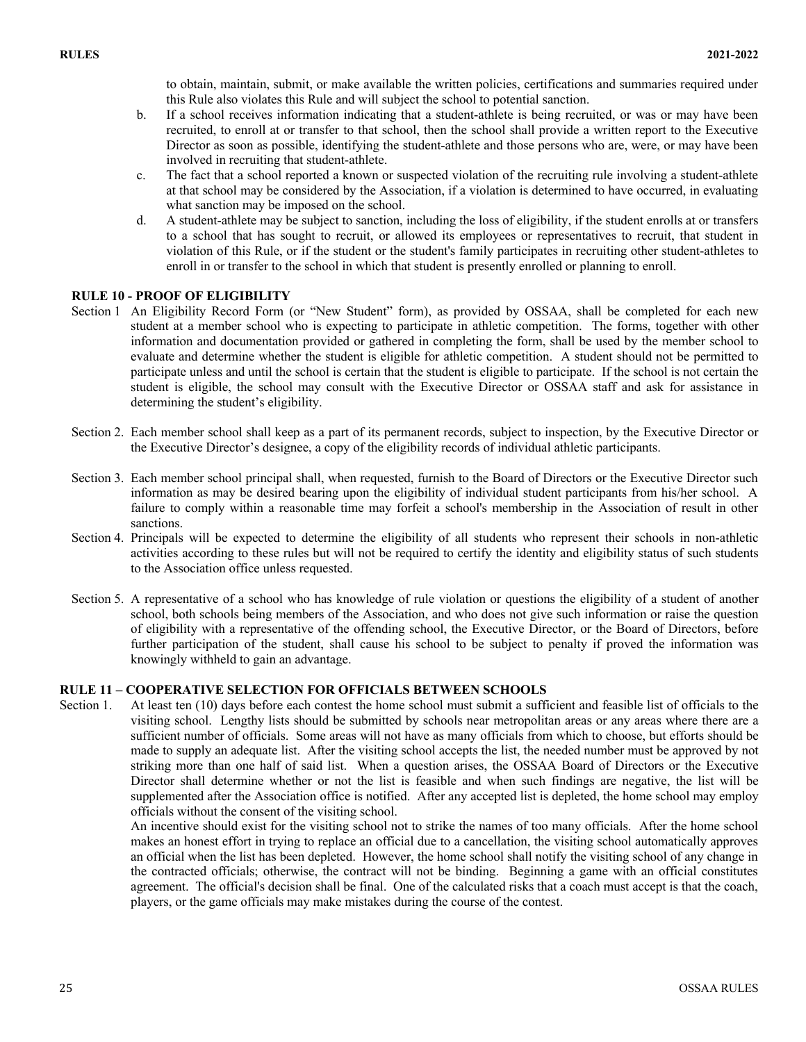to obtain, maintain, submit, or make available the written policies, certifications and summaries required under this Rule also violates this Rule and will subject the school to potential sanction.

- b. If a school receives information indicating that a student-athlete is being recruited, or was or may have been recruited, to enroll at or transfer to that school, then the school shall provide a written report to the Executive Director as soon as possible, identifying the student-athlete and those persons who are, were, or may have been involved in recruiting that student-athlete.
- c. The fact that a school reported a known or suspected violation of the recruiting rule involving a student-athlete at that school may be considered by the Association, if a violation is determined to have occurred, in evaluating what sanction may be imposed on the school.
- d. A student-athlete may be subject to sanction, including the loss of eligibility, if the student enrolls at or transfers to a school that has sought to recruit, or allowed its employees or representatives to recruit, that student in violation of this Rule, or if the student or the student's family participates in recruiting other student-athletes to enroll in or transfer to the school in which that student is presently enrolled or planning to enroll.

# **RULE 10 - PROOF OF ELIGIBILITY**

- Section 1 An Eligibility Record Form (or "New Student" form), as provided by OSSAA, shall be completed for each new student at a member school who is expecting to participate in athletic competition. The forms, together with other information and documentation provided or gathered in completing the form, shall be used by the member school to evaluate and determine whether the student is eligible for athletic competition. A student should not be permitted to participate unless and until the school is certain that the student is eligible to participate. If the school is not certain the student is eligible, the school may consult with the Executive Director or OSSAA staff and ask for assistance in determining the student's eligibility.
- Section 2. Each member school shall keep as a part of its permanent records, subject to inspection, by the Executive Director or the Executive Director's designee, a copy of the eligibility records of individual athletic participants.
- Section 3. Each member school principal shall, when requested, furnish to the Board of Directors or the Executive Director such information as may be desired bearing upon the eligibility of individual student participants from his/her school. A failure to comply within a reasonable time may forfeit a school's membership in the Association of result in other sanctions.
- Section 4. Principals will be expected to determine the eligibility of all students who represent their schools in non-athletic activities according to these rules but will not be required to certify the identity and eligibility status of such students to the Association office unless requested.
- Section 5. A representative of a school who has knowledge of rule violation or questions the eligibility of a student of another school, both schools being members of the Association, and who does not give such information or raise the question of eligibility with a representative of the offending school, the Executive Director, or the Board of Directors, before further participation of the student, shall cause his school to be subject to penalty if proved the information was knowingly withheld to gain an advantage.

# **RULE 11 – COOPERATIVE SELECTION FOR OFFICIALS BETWEEN SCHOOLS**

Section 1. At least ten (10) days before each contest the home school must submit a sufficient and feasible list of officials to the visiting school. Lengthy lists should be submitted by schools near metropolitan areas or any areas where there are a sufficient number of officials. Some areas will not have as many officials from which to choose, but efforts should be made to supply an adequate list. After the visiting school accepts the list, the needed number must be approved by not striking more than one half of said list. When a question arises, the OSSAA Board of Directors or the Executive Director shall determine whether or not the list is feasible and when such findings are negative, the list will be supplemented after the Association office is notified. After any accepted list is depleted, the home school may employ officials without the consent of the visiting school.

An incentive should exist for the visiting school not to strike the names of too many officials. After the home school makes an honest effort in trying to replace an official due to a cancellation, the visiting school automatically approves an official when the list has been depleted. However, the home school shall notify the visiting school of any change in the contracted officials; otherwise, the contract will not be binding. Beginning a game with an official constitutes agreement. The official's decision shall be final. One of the calculated risks that a coach must accept is that the coach, players, or the game officials may make mistakes during the course of the contest.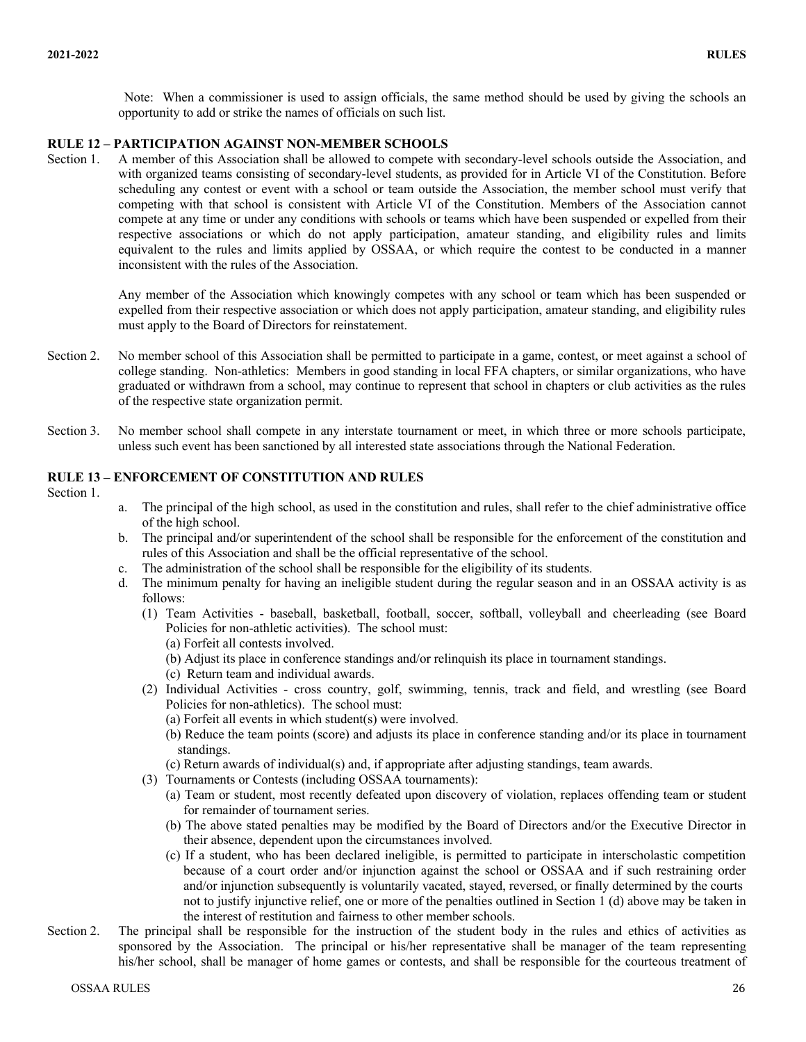Note: When a commissioner is used to assign officials, the same method should be used by giving the schools an opportunity to add or strike the names of officials on such list.

#### **RULE 12 – PARTICIPATION AGAINST NON-MEMBER SCHOOLS**

Section 1. A member of this Association shall be allowed to compete with secondary-level schools outside the Association, and with organized teams consisting of secondary-level students, as provided for in Article VI of the Constitution. Before scheduling any contest or event with a school or team outside the Association, the member school must verify that competing with that school is consistent with Article VI of the Constitution. Members of the Association cannot compete at any time or under any conditions with schools or teams which have been suspended or expelled from their respective associations or which do not apply participation, amateur standing, and eligibility rules and limits equivalent to the rules and limits applied by OSSAA, or which require the contest to be conducted in a manner inconsistent with the rules of the Association.

> Any member of the Association which knowingly competes with any school or team which has been suspended or expelled from their respective association or which does not apply participation, amateur standing, and eligibility rules must apply to the Board of Directors for reinstatement.

- Section 2. No member school of this Association shall be permitted to participate in a game, contest, or meet against a school of college standing. Non-athletics: Members in good standing in local FFA chapters, or similar organizations, who have graduated or withdrawn from a school, may continue to represent that school in chapters or club activities as the rules of the respective state organization permit.
- Section 3. No member school shall compete in any interstate tournament or meet, in which three or more schools participate, unless such event has been sanctioned by all interested state associations through the National Federation.

# **RULE 13 – ENFORCEMENT OF CONSTITUTION AND RULES**

Section 1.

- a. The principal of the high school, as used in the constitution and rules, shall refer to the chief administrative office of the high school.
- b. The principal and/or superintendent of the school shall be responsible for the enforcement of the constitution and rules of this Association and shall be the official representative of the school.
- c. The administration of the school shall be responsible for the eligibility of its students.
- d. The minimum penalty for having an ineligible student during the regular season and in an OSSAA activity is as follows:
	- (1) Team Activities baseball, basketball, football, soccer, softball, volleyball and cheerleading (see Board Policies for non-athletic activities). The school must:
		- (a) Forfeit all contests involved.
		- (b) Adjust its place in conference standings and/or relinquish its place in tournament standings.
		- (c) Return team and individual awards.
	- (2) Individual Activities cross country, golf, swimming, tennis, track and field, and wrestling (see Board Policies for non-athletics). The school must:
		- (a) Forfeit all events in which student(s) were involved.
		- (b) Reduce the team points (score) and adjusts its place in conference standing and/or its place in tournament standings.
		- (c) Return awards of individual(s) and, if appropriate after adjusting standings, team awards.
	- (3) Tournaments or Contests (including OSSAA tournaments):
		- (a) Team or student, most recently defeated upon discovery of violation, replaces offending team or student for remainder of tournament series.
		- (b) The above stated penalties may be modified by the Board of Directors and/or the Executive Director in their absence, dependent upon the circumstances involved.
		- (c) If a student, who has been declared ineligible, is permitted to participate in interscholastic competition because of a court order and/or injunction against the school or OSSAA and if such restraining order and/or injunction subsequently is voluntarily vacated, stayed, reversed, or finally determined by the courts not to justify injunctive relief, one or more of the penalties outlined in Section 1 (d) above may be taken in the interest of restitution and fairness to other member schools.
- Section 2. The principal shall be responsible for the instruction of the student body in the rules and ethics of activities as sponsored by the Association. The principal or his/her representative shall be manager of the team representing his/her school, shall be manager of home games or contests, and shall be responsible for the courteous treatment of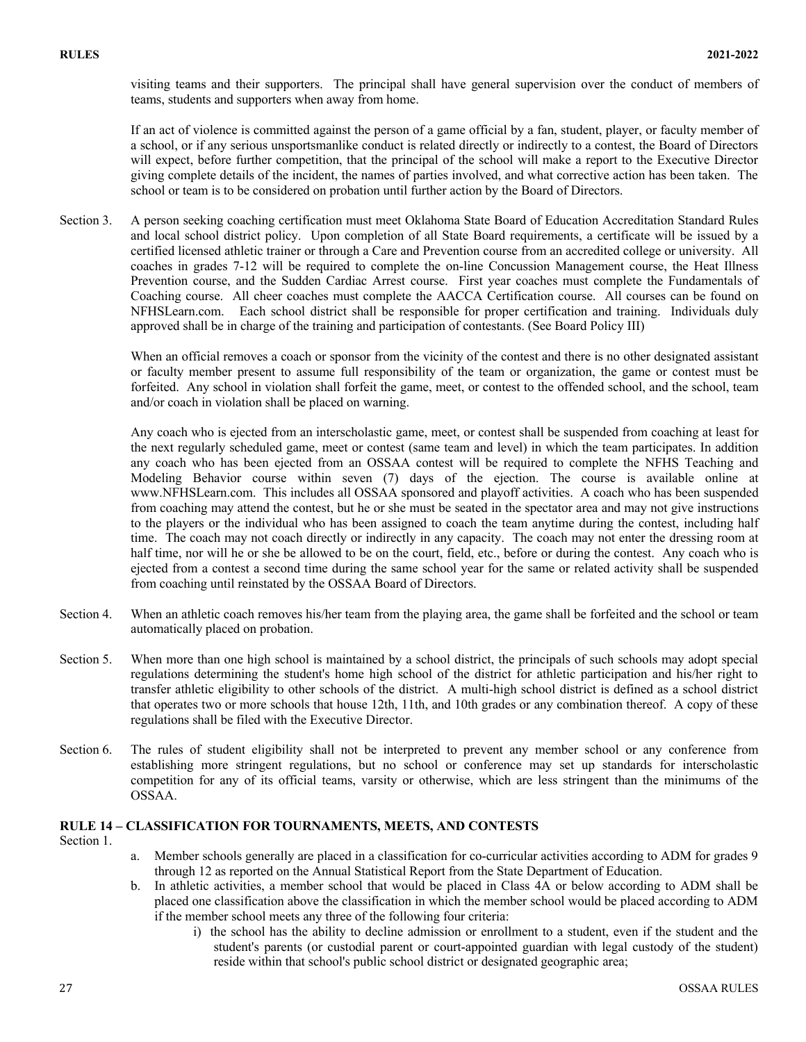visiting teams and their supporters. The principal shall have general supervision over the conduct of members of teams, students and supporters when away from home.

If an act of violence is committed against the person of a game official by a fan, student, player, or faculty member of a school, or if any serious unsportsmanlike conduct is related directly or indirectly to a contest, the Board of Directors will expect, before further competition, that the principal of the school will make a report to the Executive Director giving complete details of the incident, the names of parties involved, and what corrective action has been taken. The school or team is to be considered on probation until further action by the Board of Directors.

Section 3. A person seeking coaching certification must meet Oklahoma State Board of Education Accreditation Standard Rules and local school district policy. Upon completion of all State Board requirements, a certificate will be issued by a certified licensed athletic trainer or through a Care and Prevention course from an accredited college or university. All coaches in grades 7-12 will be required to complete the on-line Concussion Management course, the Heat Illness Prevention course, and the Sudden Cardiac Arrest course. First year coaches must complete the Fundamentals of Coaching course. All cheer coaches must complete the AACCA Certification course. All courses can be found on NFHSLearn.com. Each school district shall be responsible for proper certification and training. Individuals duly approved shall be in charge of the training and participation of contestants. (See Board Policy III)

When an official removes a coach or sponsor from the vicinity of the contest and there is no other designated assistant or faculty member present to assume full responsibility of the team or organization, the game or contest must be forfeited. Any school in violation shall forfeit the game, meet, or contest to the offended school, and the school, team and/or coach in violation shall be placed on warning.

Any coach who is ejected from an interscholastic game, meet, or contest shall be suspended from coaching at least for the next regularly scheduled game, meet or contest (same team and level) in which the team participates. In addition any coach who has been ejected from an OSSAA contest will be required to complete the NFHS Teaching and Modeling Behavior course within seven (7) days of the ejection. The course is available online at www.NFHSLearn.com. This includes all OSSAA sponsored and playoff activities. A coach who has been suspended from coaching may attend the contest, but he or she must be seated in the spectator area and may not give instructions to the players or the individual who has been assigned to coach the team anytime during the contest, including half time. The coach may not coach directly or indirectly in any capacity. The coach may not enter the dressing room at half time, nor will he or she be allowed to be on the court, field, etc., before or during the contest. Any coach who is ejected from a contest a second time during the same school year for the same or related activity shall be suspended from coaching until reinstated by the OSSAA Board of Directors.

- Section 4. When an athletic coach removes his/her team from the playing area, the game shall be forfeited and the school or team automatically placed on probation.
- Section 5. When more than one high school is maintained by a school district, the principals of such schools may adopt special regulations determining the student's home high school of the district for athletic participation and his/her right to transfer athletic eligibility to other schools of the district. A multi-high school district is defined as a school district that operates two or more schools that house 12th, 11th, and 10th grades or any combination thereof. A copy of these regulations shall be filed with the Executive Director.
- Section 6. The rules of student eligibility shall not be interpreted to prevent any member school or any conference from establishing more stringent regulations, but no school or conference may set up standards for interscholastic competition for any of its official teams, varsity or otherwise, which are less stringent than the minimums of the OSSAA.

# **RULE 14 – CLASSIFICATION FOR TOURNAMENTS, MEETS, AND CONTESTS**

- Section 1.
- a. Member schools generally are placed in a classification for co-curricular activities according to ADM for grades 9 through 12 as reported on the Annual Statistical Report from the State Department of Education.
- b. In athletic activities, a member school that would be placed in Class 4A or below according to ADM shall be placed one classification above the classification in which the member school would be placed according to ADM if the member school meets any three of the following four criteria:
	- i) the school has the ability to decline admission or enrollment to a student, even if the student and the student's parents (or custodial parent or court-appointed guardian with legal custody of the student) reside within that school's public school district or designated geographic area;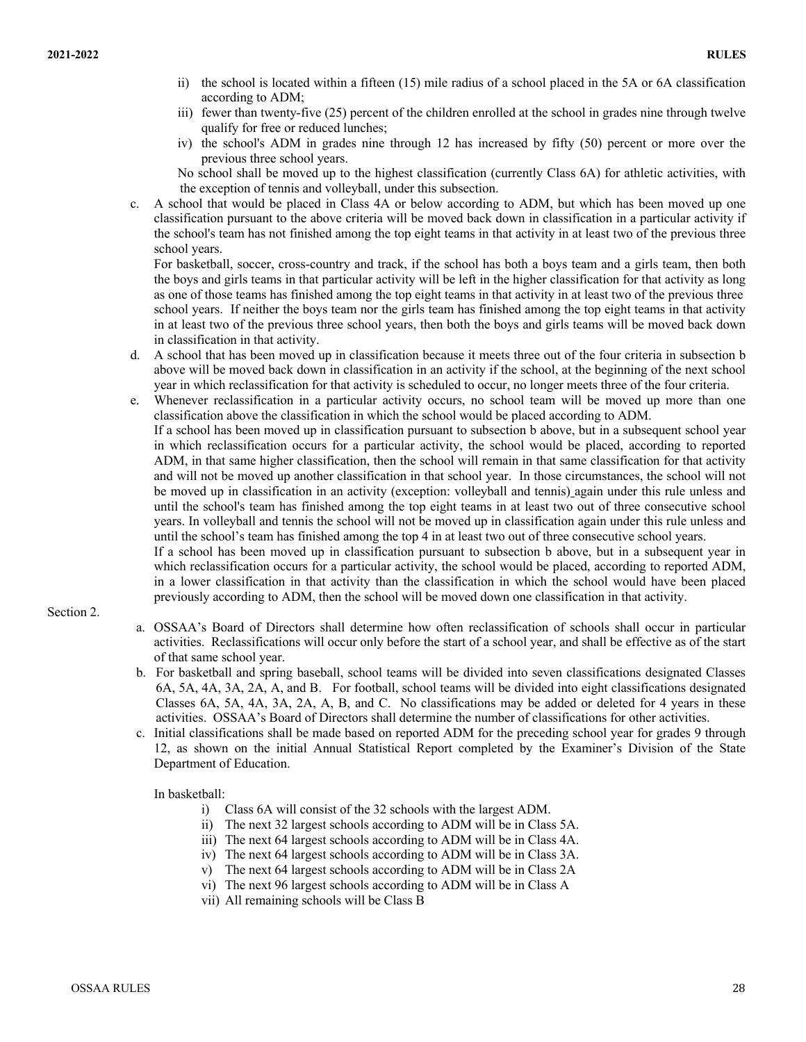- ii) the school is located within a fifteen (15) mile radius of a school placed in the 5A or 6A classification according to ADM;
- iii) fewer than twenty-five (25) percent of the children enrolled at the school in grades nine through twelve qualify for free or reduced lunches;
- iv) the school's ADM in grades nine through 12 has increased by fifty (50) percent or more over the previous three school years.
- No school shall be moved up to the highest classification (currently Class 6A) for athletic activities, with the exception of tennis and volleyball, under this subsection.
- A school that would be placed in Class 4A or below according to ADM, but which has been moved up one classification pursuant to the above criteria will be moved back down in classification in a particular activity if the school's team has not finished among the top eight teams in that activity in at least two of the previous three school years.

For basketball, soccer, cross-country and track, if the school has both a boys team and a girls team, then both the boys and girls teams in that particular activity will be left in the higher classification for that activity as long as one of those teams has finished among the top eight teams in that activity in at least two of the previous three school years. If neither the boys team nor the girls team has finished among the top eight teams in that activity in at least two of the previous three school years, then both the boys and girls teams will be moved back down in classification in that activity.

- d. A school that has been moved up in classification because it meets three out of the four criteria in subsection b above will be moved back down in classification in an activity if the school, at the beginning of the next school year in which reclassification for that activity is scheduled to occur, no longer meets three of the four criteria.
- e. Whenever reclassification in a particular activity occurs, no school team will be moved up more than one classification above the classification in which the school would be placed according to ADM.

If a school has been moved up in classification pursuant to subsection b above, but in a subsequent school year in which reclassification occurs for a particular activity, the school would be placed, according to reported ADM, in that same higher classification, then the school will remain in that same classification for that activity and will not be moved up another classification in that school year. In those circumstances, the school will not be moved up in classification in an activity (exception: volleyball and tennis) again under this rule unless and until the school's team has finished among the top eight teams in at least two out of three consecutive school years. In volleyball and tennis the school will not be moved up in classification again under this rule unless and until the school's team has finished among the top 4 in at least two out of three consecutive school years.

If a school has been moved up in classification pursuant to subsection b above, but in a subsequent year in which reclassification occurs for a particular activity, the school would be placed, according to reported ADM, in a lower classification in that activity than the classification in which the school would have been placed previously according to ADM, then the school will be moved down one classification in that activity.

# Section 2.

- a. OSSAA's Board of Directors shall determine how often reclassification of schools shall occur in particular activities. Reclassifications will occur only before the start of a school year, and shall be effective as of the start of that same school year.
- b. For basketball and spring baseball, school teams will be divided into seven classifications designated Classes 6A, 5A, 4A, 3A, 2A, A, and B. For football, school teams will be divided into eight classifications designated Classes 6A, 5A, 4A, 3A, 2A, A, B, and C. No classifications may be added or deleted for 4 years in these activities. OSSAA's Board of Directors shall determine the number of classifications for other activities.
- c. Initial classifications shall be made based on reported ADM for the preceding school year for grades 9 through 12, as shown on the initial Annual Statistical Report completed by the Examiner's Division of the State Department of Education.

# In basketball:

- i) Class 6A will consist of the 32 schools with the largest ADM.
- ii) The next 32 largest schools according to ADM will be in Class 5A.
- iii) The next 64 largest schools according to ADM will be in Class 4A.
- iv) The next 64 largest schools according to ADM will be in Class 3A.
- v) The next 64 largest schools according to ADM will be in Class 2A
- vi) The next 96 largest schools according to ADM will be in Class A
- vii) All remaining schools will be Class B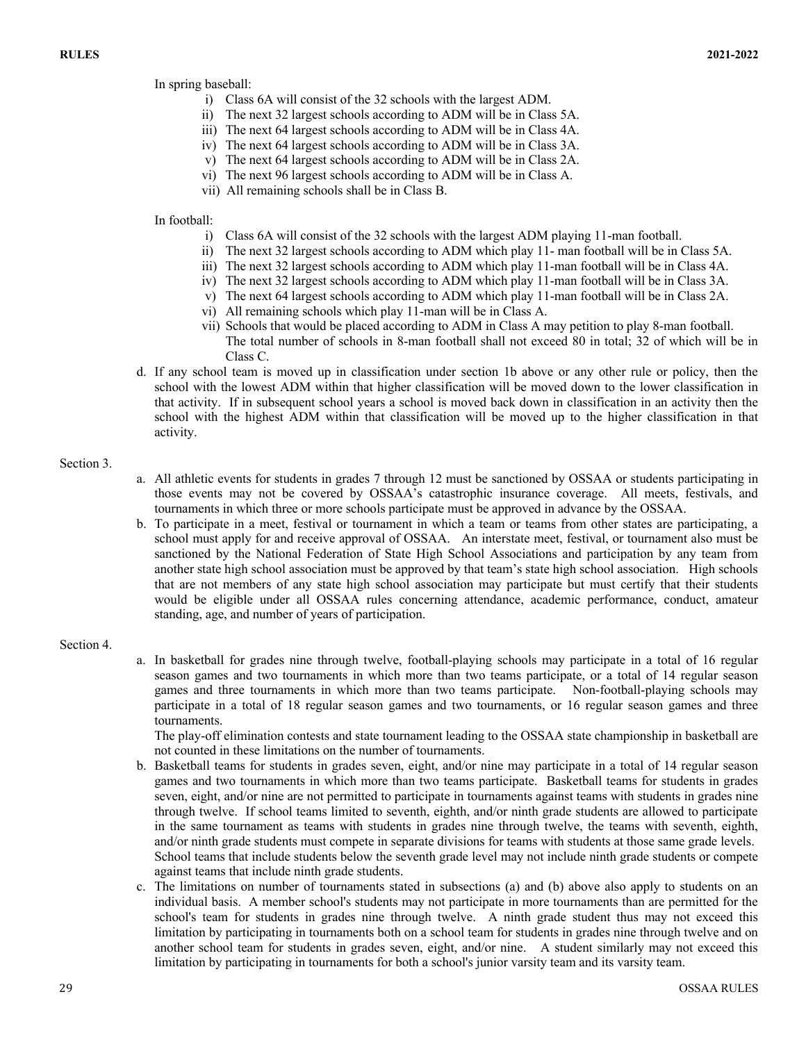In spring baseball:

- i) Class 6A will consist of the 32 schools with the largest ADM.
- ii) The next 32 largest schools according to ADM will be in Class 5A.
- iii) The next 64 largest schools according to ADM will be in Class 4A.
- iv) The next 64 largest schools according to ADM will be in Class 3A.
- v) The next 64 largest schools according to ADM will be in Class 2A.
- vi) The next 96 largest schools according to ADM will be in Class A.
- vii) All remaining schools shall be in Class B.

#### In football:

- i) Class 6A will consist of the 32 schools with the largest ADM playing 11-man football.
- ii) The next 32 largest schools according to ADM which play 11- man football will be in Class 5A.
- iii) The next 32 largest schools according to ADM which play 11-man football will be in Class 4A.
- iv) The next 32 largest schools according to ADM which play 11-man football will be in Class 3A.
- v) The next 64 largest schools according to ADM which play 11-man football will be in Class 2A.
- vi) All remaining schools which play 11-man will be in Class A.
- vii) Schools that would be placed according to ADM in Class A may petition to play 8-man football. The total number of schools in 8-man football shall not exceed 80 in total; 32 of which will be in Class C.
- d. If any school team is moved up in classification under section 1b above or any other rule or policy, then the school with the lowest ADM within that higher classification will be moved down to the lower classification in that activity. If in subsequent school years a school is moved back down in classification in an activity then the school with the highest ADM within that classification will be moved up to the higher classification in that activity.

# Section 3.

- a. All athletic events for students in grades 7 through 12 must be sanctioned by OSSAA or students participating in those events may not be covered by OSSAA's catastrophic insurance coverage. All meets, festivals, and tournaments in which three or more schools participate must be approved in advance by the OSSAA.
- b. To participate in a meet, festival or tournament in which a team or teams from other states are participating, a school must apply for and receive approval of OSSAA. An interstate meet, festival, or tournament also must be sanctioned by the National Federation of State High School Associations and participation by any team from another state high school association must be approved by that team's state high school association. High schools that are not members of any state high school association may participate but must certify that their students would be eligible under all OSSAA rules concerning attendance, academic performance, conduct, amateur standing, age, and number of years of participation.

# Section 4.

a. In basketball for grades nine through twelve, football-playing schools may participate in a total of 16 regular season games and two tournaments in which more than two teams participate, or a total of 14 regular season games and three tournaments in which more than two teams participate. Non-football-playing schools may participate in a total of 18 regular season games and two tournaments, or 16 regular season games and three tournaments.

The play-off elimination contests and state tournament leading to the OSSAA state championship in basketball are not counted in these limitations on the number of tournaments.

- b. Basketball teams for students in grades seven, eight, and/or nine may participate in a total of 14 regular season games and two tournaments in which more than two teams participate. Basketball teams for students in grades seven, eight, and/or nine are not permitted to participate in tournaments against teams with students in grades nine through twelve. If school teams limited to seventh, eighth, and/or ninth grade students are allowed to participate in the same tournament as teams with students in grades nine through twelve, the teams with seventh, eighth, and/or ninth grade students must compete in separate divisions for teams with students at those same grade levels. School teams that include students below the seventh grade level may not include ninth grade students or compete against teams that include ninth grade students.
- c. The limitations on number of tournaments stated in subsections (a) and (b) above also apply to students on an individual basis. A member school's students may not participate in more tournaments than are permitted for the school's team for students in grades nine through twelve. A ninth grade student thus may not exceed this limitation by participating in tournaments both on a school team for students in grades nine through twelve and on another school team for students in grades seven, eight, and/or nine. A student similarly may not exceed this limitation by participating in tournaments for both a school's junior varsity team and its varsity team.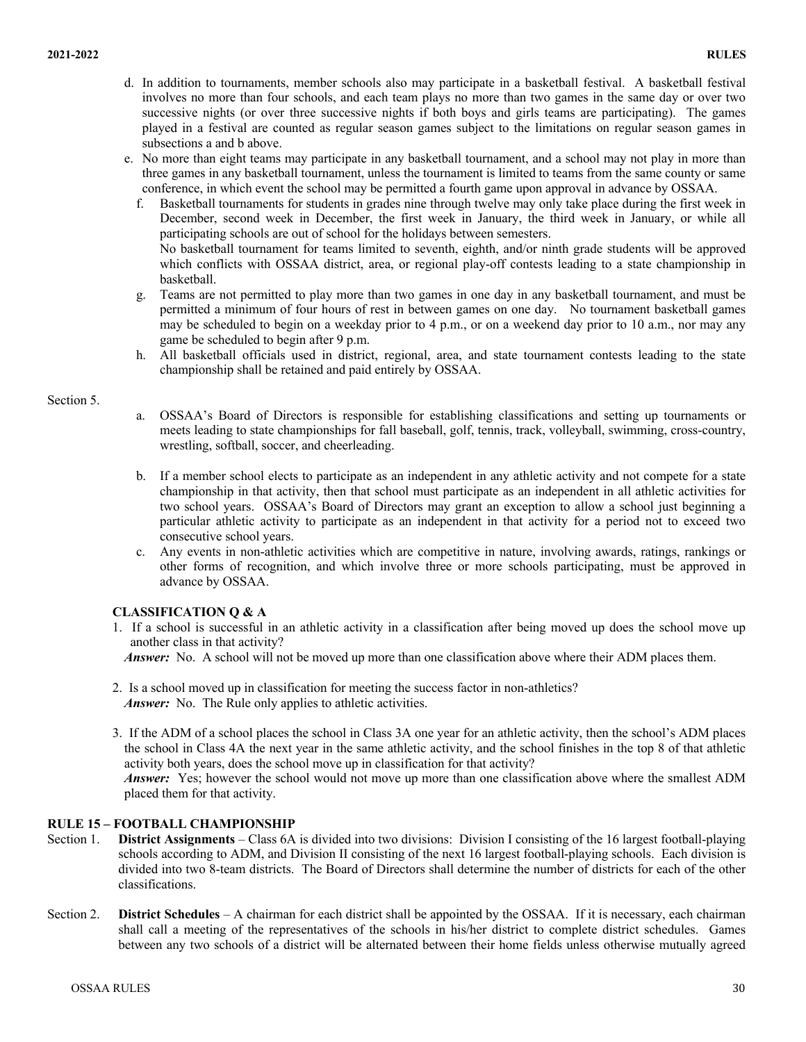- d. In addition to tournaments, member schools also may participate in a basketball festival. A basketball festival involves no more than four schools, and each team plays no more than two games in the same day or over two successive nights (or over three successive nights if both boys and girls teams are participating). The games played in a festival are counted as regular season games subject to the limitations on regular season games in subsections a and b above.
- e. No more than eight teams may participate in any basketball tournament, and a school may not play in more than three games in any basketball tournament, unless the tournament is limited to teams from the same county or same conference, in which event the school may be permitted a fourth game upon approval in advance by OSSAA.
	- f. Basketball tournaments for students in grades nine through twelve may only take place during the first week in December, second week in December, the first week in January, the third week in January, or while all participating schools are out of school for the holidays between semesters. No basketball tournament for teams limited to seventh, eighth, and/or ninth grade students will be approved which conflicts with OSSAA district, area, or regional play-off contests leading to a state championship in basketball.
	- g. Teams are not permitted to play more than two games in one day in any basketball tournament, and must be permitted a minimum of four hours of rest in between games on one day. No tournament basketball games may be scheduled to begin on a weekday prior to 4 p.m., or on a weekend day prior to 10 a.m., nor may any game be scheduled to begin after 9 p.m.
	- h. All basketball officials used in district, regional, area, and state tournament contests leading to the state championship shall be retained and paid entirely by OSSAA.

#### Section 5.

- a. OSSAA's Board of Directors is responsible for establishing classifications and setting up tournaments or meets leading to state championships for fall baseball, golf, tennis, track, volleyball, swimming, cross-country, wrestling, softball, soccer, and cheerleading.
- b. If a member school elects to participate as an independent in any athletic activity and not compete for a state championship in that activity, then that school must participate as an independent in all athletic activities for two school years. OSSAA's Board of Directors may grant an exception to allow a school just beginning a particular athletic activity to participate as an independent in that activity for a period not to exceed two consecutive school years.
- c. Any events in non-athletic activities which are competitive in nature, involving awards, ratings, rankings or other forms of recognition, and which involve three or more schools participating, must be approved in advance by OSSAA.

# **CLASSIFICATION Q & A**

1. If a school is successful in an athletic activity in a classification after being moved up does the school move up another class in that activity?

*Answer:* No. A school will not be moved up more than one classification above where their ADM places them.

- 2. Is a school moved up in classification for meeting the success factor in non-athletics? *Answer:* No. The Rule only applies to athletic activities.
- 3. If the ADM of a school places the school in Class 3A one year for an athletic activity, then the school's ADM places the school in Class 4A the next year in the same athletic activity, and the school finishes in the top 8 of that athletic activity both years, does the school move up in classification for that activity?

*Answer:* Yes; however the school would not move up more than one classification above where the smallest ADM placed them for that activity.

# **RULE 15 – FOOTBALL CHAMPIONSHIP**

- Section 1. **District Assignments** Class 6A is divided into two divisions: Division I consisting of the 16 largest football-playing schools according to ADM, and Division II consisting of the next 16 largest football-playing schools. Each division is divided into two 8-team districts. The Board of Directors shall determine the number of districts for each of the other classifications.
- Section 2. **District Schedules** A chairman for each district shall be appointed by the OSSAA. If it is necessary, each chairman shall call a meeting of the representatives of the schools in his/her district to complete district schedules. Games between any two schools of a district will be alternated between their home fields unless otherwise mutually agreed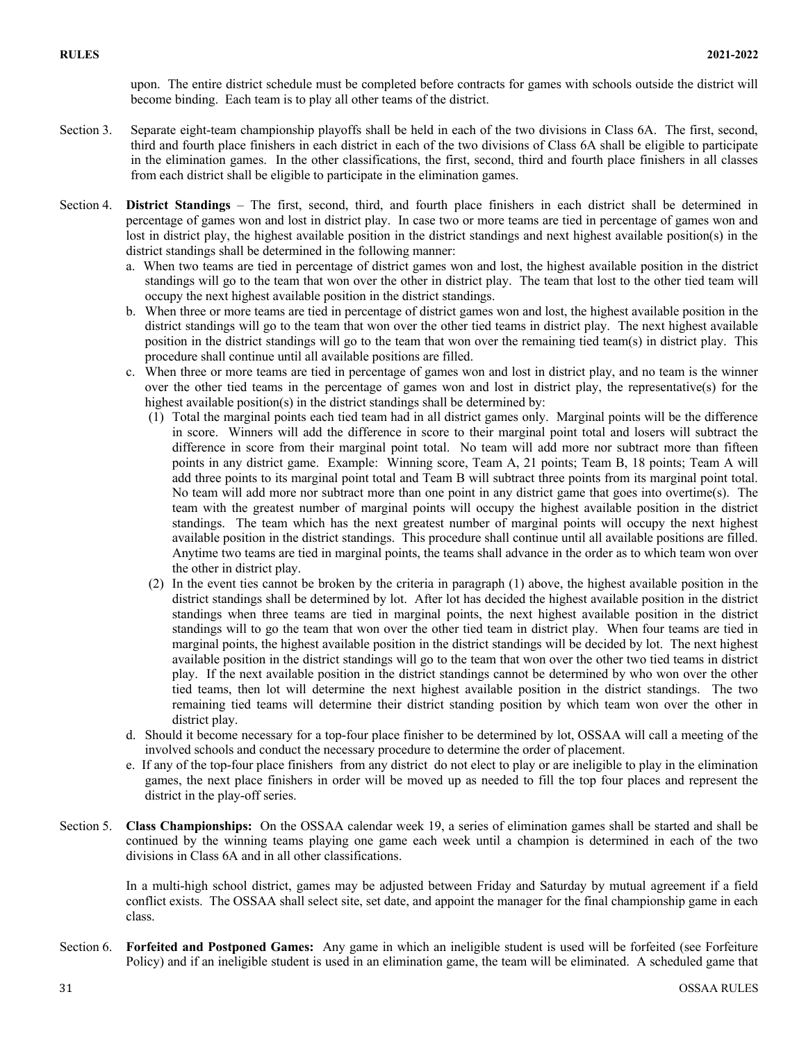upon. The entire district schedule must be completed before contracts for games with schools outside the district will become binding. Each team is to play all other teams of the district.

- Section 3. Separate eight-team championship playoffs shall be held in each of the two divisions in Class 6A. The first, second, third and fourth place finishers in each district in each of the two divisions of Class 6A shall be eligible to participate in the elimination games. In the other classifications, the first, second, third and fourth place finishers in all classes from each district shall be eligible to participate in the elimination games.
- Section 4. **District Standings** The first, second, third, and fourth place finishers in each district shall be determined in percentage of games won and lost in district play. In case two or more teams are tied in percentage of games won and lost in district play, the highest available position in the district standings and next highest available position(s) in the district standings shall be determined in the following manner:
	- a. When two teams are tied in percentage of district games won and lost, the highest available position in the district standings will go to the team that won over the other in district play. The team that lost to the other tied team will occupy the next highest available position in the district standings.
	- b. When three or more teams are tied in percentage of district games won and lost, the highest available position in the district standings will go to the team that won over the other tied teams in district play. The next highest available position in the district standings will go to the team that won over the remaining tied team(s) in district play. This procedure shall continue until all available positions are filled.
	- c. When three or more teams are tied in percentage of games won and lost in district play, and no team is the winner over the other tied teams in the percentage of games won and lost in district play, the representative(s) for the highest available position(s) in the district standings shall be determined by:
		- (1) Total the marginal points each tied team had in all district games only. Marginal points will be the difference in score. Winners will add the difference in score to their marginal point total and losers will subtract the difference in score from their marginal point total. No team will add more nor subtract more than fifteen points in any district game. Example: Winning score, Team A, 21 points; Team B, 18 points; Team A will add three points to its marginal point total and Team B will subtract three points from its marginal point total. No team will add more nor subtract more than one point in any district game that goes into overtime(s). The team with the greatest number of marginal points will occupy the highest available position in the district standings. The team which has the next greatest number of marginal points will occupy the next highest available position in the district standings. This procedure shall continue until all available positions are filled. Anytime two teams are tied in marginal points, the teams shall advance in the order as to which team won over the other in district play.
		- (2) In the event ties cannot be broken by the criteria in paragraph (1) above, the highest available position in the district standings shall be determined by lot. After lot has decided the highest available position in the district standings when three teams are tied in marginal points, the next highest available position in the district standings will to go the team that won over the other tied team in district play. When four teams are tied in marginal points, the highest available position in the district standings will be decided by lot. The next highest available position in the district standings will go to the team that won over the other two tied teams in district play. If the next available position in the district standings cannot be determined by who won over the other tied teams, then lot will determine the next highest available position in the district standings. The two remaining tied teams will determine their district standing position by which team won over the other in district play.
	- d. Should it become necessary for a top-four place finisher to be determined by lot, OSSAA will call a meeting of the involved schools and conduct the necessary procedure to determine the order of placement.
	- e. If any of the top-four place finishers from any district do not elect to play or are ineligible to play in the elimination games, the next place finishers in order will be moved up as needed to fill the top four places and represent the district in the play-off series.
- Section 5. **Class Championships:** On the OSSAA calendar week 19, a series of elimination games shall be started and shall be continued by the winning teams playing one game each week until a champion is determined in each of the two divisions in Class 6A and in all other classifications.

In a multi-high school district, games may be adjusted between Friday and Saturday by mutual agreement if a field conflict exists. The OSSAA shall select site, set date, and appoint the manager for the final championship game in each class.

Section 6. **Forfeited and Postponed Games:** Any game in which an ineligible student is used will be forfeited (see Forfeiture Policy) and if an ineligible student is used in an elimination game, the team will be eliminated. A scheduled game that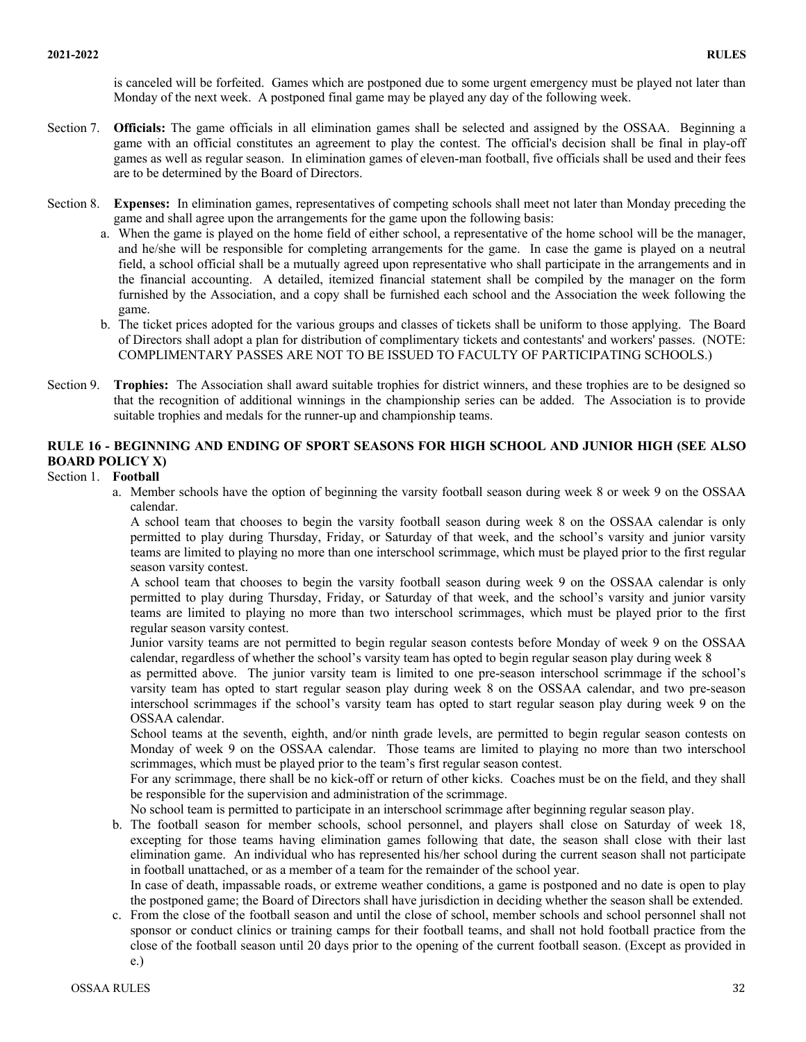is canceled will be forfeited. Games which are postponed due to some urgent emergency must be played not later than Monday of the next week. A postponed final game may be played any day of the following week.

- Section 7. **Officials:** The game officials in all elimination games shall be selected and assigned by the OSSAA. Beginning a game with an official constitutes an agreement to play the contest. The official's decision shall be final in play-off games as well as regular season. In elimination games of eleven-man football, five officials shall be used and their fees are to be determined by the Board of Directors.
- Section 8. **Expenses:** In elimination games, representatives of competing schools shall meet not later than Monday preceding the game and shall agree upon the arrangements for the game upon the following basis:
	- a. When the game is played on the home field of either school, a representative of the home school will be the manager, and he/she will be responsible for completing arrangements for the game. In case the game is played on a neutral field, a school official shall be a mutually agreed upon representative who shall participate in the arrangements and in the financial accounting. A detailed, itemized financial statement shall be compiled by the manager on the form furnished by the Association, and a copy shall be furnished each school and the Association the week following the game.
	- b. The ticket prices adopted for the various groups and classes of tickets shall be uniform to those applying. The Board of Directors shall adopt a plan for distribution of complimentary tickets and contestants' and workers' passes. (NOTE: COMPLIMENTARY PASSES ARE NOT TO BE ISSUED TO FACULTY OF PARTICIPATING SCHOOLS.)
- Section 9. **Trophies:** The Association shall award suitable trophies for district winners, and these trophies are to be designed so that the recognition of additional winnings in the championship series can be added. The Association is to provide suitable trophies and medals for the runner-up and championship teams.

# **RULE 16 - BEGINNING AND ENDING OF SPORT SEASONS FOR HIGH SCHOOL AND JUNIOR HIGH (SEE ALSO BOARD POLICY X)**

### Section 1. **Football**

a. Member schools have the option of beginning the varsity football season during week 8 or week 9 on the OSSAA calendar.

A school team that chooses to begin the varsity football season during week 8 on the OSSAA calendar is only permitted to play during Thursday, Friday, or Saturday of that week, and the school's varsity and junior varsity teams are limited to playing no more than one interschool scrimmage, which must be played prior to the first regular season varsity contest.

A school team that chooses to begin the varsity football season during week 9 on the OSSAA calendar is only permitted to play during Thursday, Friday, or Saturday of that week, and the school's varsity and junior varsity teams are limited to playing no more than two interschool scrimmages, which must be played prior to the first regular season varsity contest.

Junior varsity teams are not permitted to begin regular season contests before Monday of week 9 on the OSSAA calendar, regardless of whether the school's varsity team has opted to begin regular season play during week 8

as permitted above. The junior varsity team is limited to one pre-season interschool scrimmage if the school's varsity team has opted to start regular season play during week 8 on the OSSAA calendar, and two pre-season interschool scrimmages if the school's varsity team has opted to start regular season play during week 9 on the OSSAA calendar.

School teams at the seventh, eighth, and/or ninth grade levels, are permitted to begin regular season contests on Monday of week 9 on the OSSAA calendar. Those teams are limited to playing no more than two interschool scrimmages, which must be played prior to the team's first regular season contest.

For any scrimmage, there shall be no kick-off or return of other kicks. Coaches must be on the field, and they shall be responsible for the supervision and administration of the scrimmage.

No school team is permitted to participate in an interschool scrimmage after beginning regular season play.

b. The football season for member schools, school personnel, and players shall close on Saturday of week 18, excepting for those teams having elimination games following that date, the season shall close with their last elimination game. An individual who has represented his/her school during the current season shall not participate in football unattached, or as a member of a team for the remainder of the school year.

In case of death, impassable roads, or extreme weather conditions, a game is postponed and no date is open to play the postponed game; the Board of Directors shall have jurisdiction in deciding whether the season shall be extended.

c. From the close of the football season and until the close of school, member schools and school personnel shall not sponsor or conduct clinics or training camps for their football teams, and shall not hold football practice from the close of the football season until 20 days prior to the opening of the current football season. (Except as provided in e.)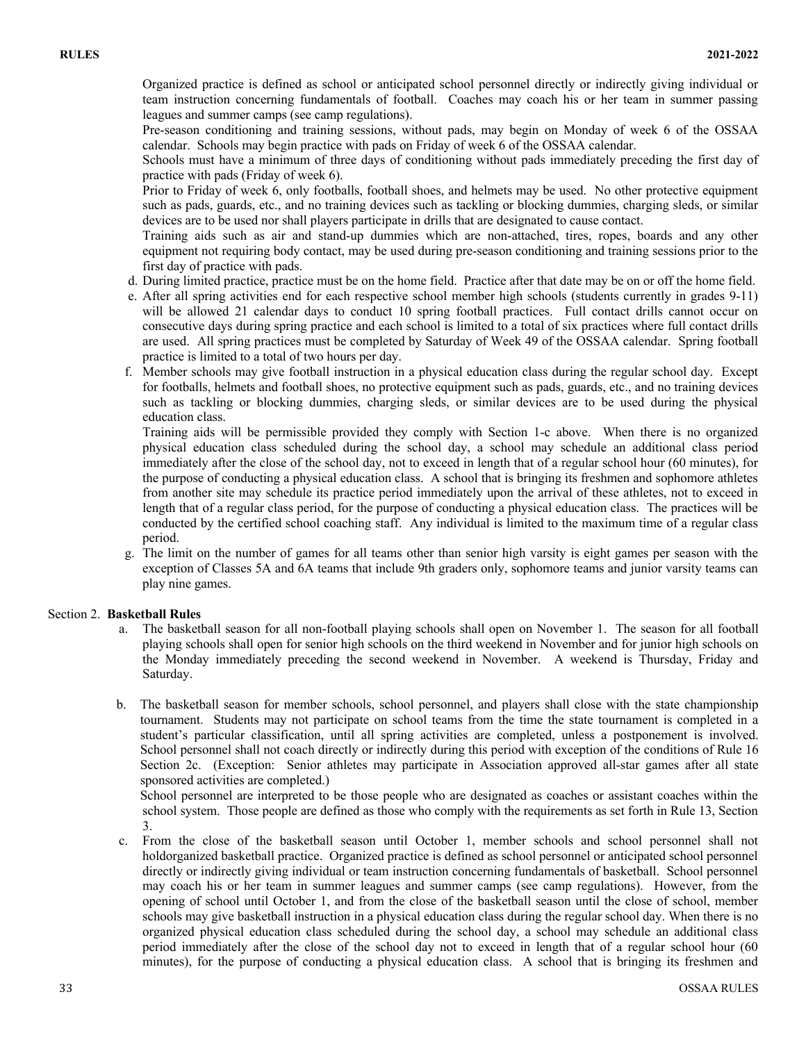Organized practice is defined as school or anticipated school personnel directly or indirectly giving individual or team instruction concerning fundamentals of football. Coaches may coach his or her team in summer passing leagues and summer camps (see camp regulations).

Pre-season conditioning and training sessions, without pads, may begin on Monday of week 6 of the OSSAA calendar. Schools may begin practice with pads on Friday of week 6 of the OSSAA calendar.

Schools must have a minimum of three days of conditioning without pads immediately preceding the first day of practice with pads (Friday of week 6).

Prior to Friday of week 6, only footballs, football shoes, and helmets may be used. No other protective equipment such as pads, guards, etc., and no training devices such as tackling or blocking dummies, charging sleds, or similar devices are to be used nor shall players participate in drills that are designated to cause contact.

Training aids such as air and stand-up dummies which are non-attached, tires, ropes, boards and any other equipment not requiring body contact, may be used during pre-season conditioning and training sessions prior to the first day of practice with pads.

- d. During limited practice, practice must be on the home field. Practice after that date may be on or off the home field.
- e. After all spring activities end for each respective school member high schools (students currently in grades 9-11) will be allowed 21 calendar days to conduct 10 spring football practices. Full contact drills cannot occur on consecutive days during spring practice and each school is limited to a total of six practices where full contact drills are used. All spring practices must be completed by Saturday of Week 49 of the OSSAA calendar. Spring football practice is limited to a total of two hours per day.
- f. Member schools may give football instruction in a physical education class during the regular school day. Except for footballs, helmets and football shoes, no protective equipment such as pads, guards, etc., and no training devices such as tackling or blocking dummies, charging sleds, or similar devices are to be used during the physical education class.

Training aids will be permissible provided they comply with Section 1-c above. When there is no organized physical education class scheduled during the school day, a school may schedule an additional class period immediately after the close of the school day, not to exceed in length that of a regular school hour (60 minutes), for the purpose of conducting a physical education class. A school that is bringing its freshmen and sophomore athletes from another site may schedule its practice period immediately upon the arrival of these athletes, not to exceed in length that of a regular class period, for the purpose of conducting a physical education class. The practices will be conducted by the certified school coaching staff. Any individual is limited to the maximum time of a regular class period.

g. The limit on the number of games for all teams other than senior high varsity is eight games per season with the exception of Classes 5A and 6A teams that include 9th graders only, sophomore teams and junior varsity teams can play nine games.

# Section 2. **Basketball Rules**

- a. The basketball season for all non-football playing schools shall open on November 1. The season for all football playing schools shall open for senior high schools on the third weekend in November and for junior high schools on the Monday immediately preceding the second weekend in November. A weekend is Thursday, Friday and Saturday.
- b. The basketball season for member schools, school personnel, and players shall close with the state championship tournament. Students may not participate on school teams from the time the state tournament is completed in a student's particular classification, until all spring activities are completed, unless a postponement is involved. School personnel shall not coach directly or indirectly during this period with exception of the conditions of Rule 16 Section 2c. (Exception: Senior athletes may participate in Association approved all-star games after all state sponsored activities are completed.)

School personnel are interpreted to be those people who are designated as coaches or assistant coaches within the school system. Those people are defined as those who comply with the requirements as set forth in Rule 13, Section 3.

c. From the close of the basketball season until October 1, member schools and school personnel shall not holdorganized basketball practice. Organized practice is defined as school personnel or anticipated school personnel directly or indirectly giving individual or team instruction concerning fundamentals of basketball. School personnel may coach his or her team in summer leagues and summer camps (see camp regulations). However, from the opening of school until October 1, and from the close of the basketball season until the close of school, member schools may give basketball instruction in a physical education class during the regular school day. When there is no organized physical education class scheduled during the school day, a school may schedule an additional class period immediately after the close of the school day not to exceed in length that of a regular school hour (60 minutes), for the purpose of conducting a physical education class. A school that is bringing its freshmen and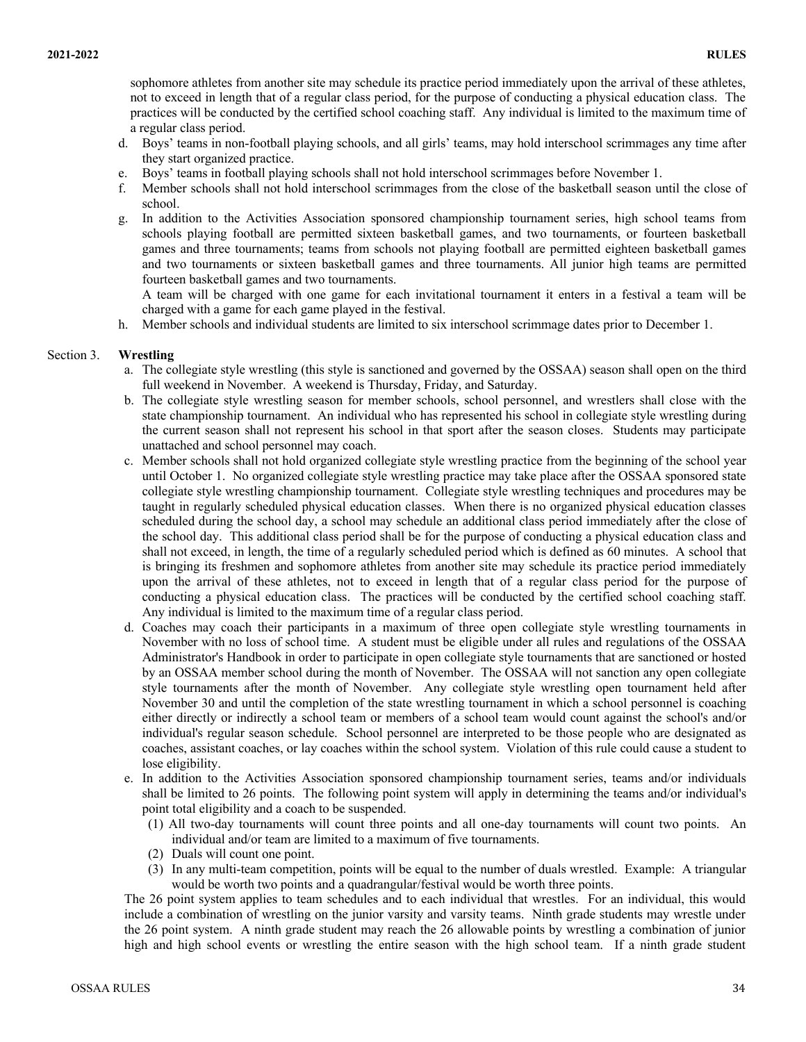sophomore athletes from another site may schedule its practice period immediately upon the arrival of these athletes, not to exceed in length that of a regular class period, for the purpose of conducting a physical education class. The practices will be conducted by the certified school coaching staff. Any individual is limited to the maximum time of a regular class period.

- d. Boys' teams in non-football playing schools, and all girls' teams, may hold interschool scrimmages any time after they start organized practice.
- e. Boys' teams in football playing schools shall not hold interschool scrimmages before November 1.
- f. Member schools shall not hold interschool scrimmages from the close of the basketball season until the close of school.
- g. In addition to the Activities Association sponsored championship tournament series, high school teams from schools playing football are permitted sixteen basketball games, and two tournaments, or fourteen basketball games and three tournaments; teams from schools not playing football are permitted eighteen basketball games and two tournaments or sixteen basketball games and three tournaments. All junior high teams are permitted fourteen basketball games and two tournaments.

A team will be charged with one game for each invitational tournament it enters in a festival a team will be charged with a game for each game played in the festival.

h. Member schools and individual students are limited to six interschool scrimmage dates prior to December 1.

#### Section 3. **Wrestling**

- a. The collegiate style wrestling (this style is sanctioned and governed by the OSSAA) season shall open on the third full weekend in November. A weekend is Thursday, Friday, and Saturday.
- b. The collegiate style wrestling season for member schools, school personnel, and wrestlers shall close with the state championship tournament. An individual who has represented his school in collegiate style wrestling during the current season shall not represent his school in that sport after the season closes. Students may participate unattached and school personnel may coach.
- c. Member schools shall not hold organized collegiate style wrestling practice from the beginning of the school year until October 1. No organized collegiate style wrestling practice may take place after the OSSAA sponsored state collegiate style wrestling championship tournament. Collegiate style wrestling techniques and procedures may be taught in regularly scheduled physical education classes. When there is no organized physical education classes scheduled during the school day, a school may schedule an additional class period immediately after the close of the school day. This additional class period shall be for the purpose of conducting a physical education class and shall not exceed, in length, the time of a regularly scheduled period which is defined as 60 minutes. A school that is bringing its freshmen and sophomore athletes from another site may schedule its practice period immediately upon the arrival of these athletes, not to exceed in length that of a regular class period for the purpose of conducting a physical education class. The practices will be conducted by the certified school coaching staff. Any individual is limited to the maximum time of a regular class period.
- d. Coaches may coach their participants in a maximum of three open collegiate style wrestling tournaments in November with no loss of school time. A student must be eligible under all rules and regulations of the OSSAA Administrator's Handbook in order to participate in open collegiate style tournaments that are sanctioned or hosted by an OSSAA member school during the month of November. The OSSAA will not sanction any open collegiate style tournaments after the month of November. Any collegiate style wrestling open tournament held after November 30 and until the completion of the state wrestling tournament in which a school personnel is coaching either directly or indirectly a school team or members of a school team would count against the school's and/or individual's regular season schedule. School personnel are interpreted to be those people who are designated as coaches, assistant coaches, or lay coaches within the school system. Violation of this rule could cause a student to lose eligibility.
- e. In addition to the Activities Association sponsored championship tournament series, teams and/or individuals shall be limited to 26 points. The following point system will apply in determining the teams and/or individual's point total eligibility and a coach to be suspended.
	- (1) All two-day tournaments will count three points and all one-day tournaments will count two points. An individual and/or team are limited to a maximum of five tournaments.
	- (2) Duals will count one point.
	- (3) In any multi-team competition, points will be equal to the number of duals wrestled. Example: A triangular would be worth two points and a quadrangular/festival would be worth three points.

The 26 point system applies to team schedules and to each individual that wrestles. For an individual, this would include a combination of wrestling on the junior varsity and varsity teams. Ninth grade students may wrestle under the 26 point system. A ninth grade student may reach the 26 allowable points by wrestling a combination of junior high and high school events or wrestling the entire season with the high school team. If a ninth grade student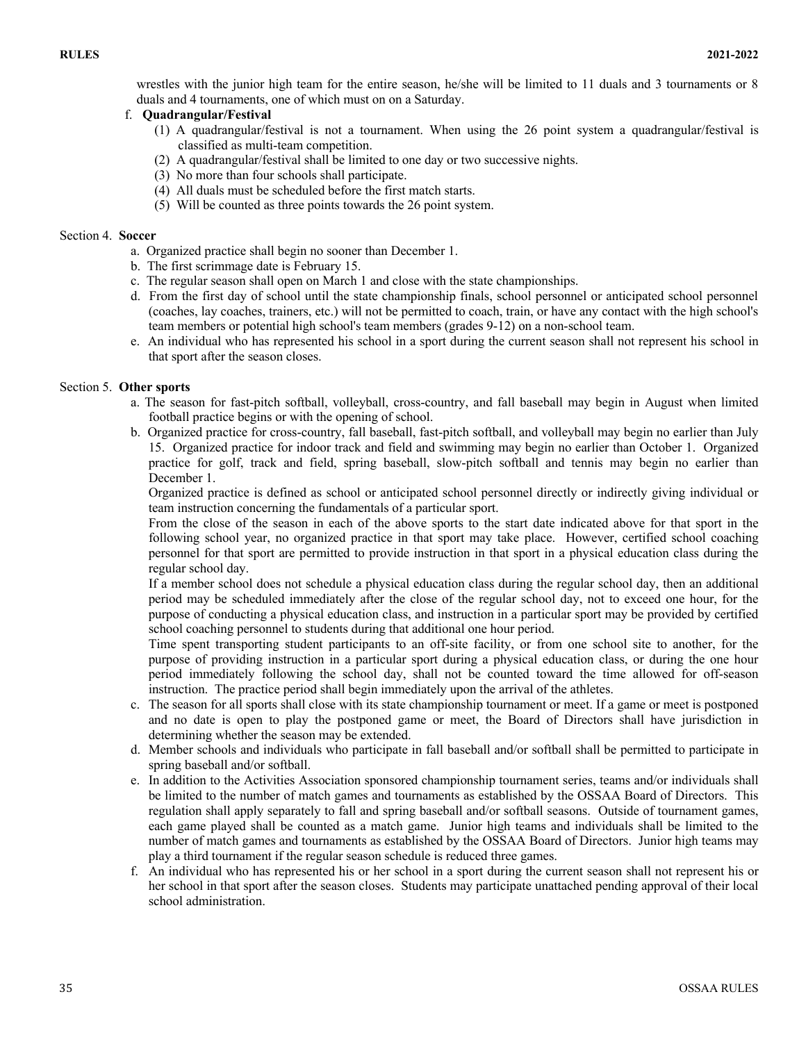wrestles with the junior high team for the entire season, he/she will be limited to 11 duals and 3 tournaments or 8 duals and 4 tournaments, one of which must on on a Saturday.

### f. **Quadrangular/Festival**

- (1) A quadrangular/festival is not a tournament. When using the 26 point system a quadrangular/festival is classified as multi-team competition.
- (2) A quadrangular/festival shall be limited to one day or two successive nights.
- (3) No more than four schools shall participate.
- (4) All duals must be scheduled before the first match starts.
- (5) Will be counted as three points towards the 26 point system.

#### Section 4. **Soccer**

- a. Organized practice shall begin no sooner than December 1.
- b. The first scrimmage date is February 15.
- c. The regular season shall open on March 1 and close with the state championships.
- d. From the first day of school until the state championship finals, school personnel or anticipated school personnel (coaches, lay coaches, trainers, etc.) will not be permitted to coach, train, or have any contact with the high school's team members or potential high school's team members (grades 9-12) on a non-school team.
- e. An individual who has represented his school in a sport during the current season shall not represent his school in that sport after the season closes.

### Section 5. **Other sports**

- a. The season for fast-pitch softball, volleyball, cross-country, and fall baseball may begin in August when limited football practice begins or with the opening of school.
- b. Organized practice for cross-country, fall baseball, fast-pitch softball, and volleyball may begin no earlier than July 15. Organized practice for indoor track and field and swimming may begin no earlier than October 1. Organized practice for golf, track and field, spring baseball, slow-pitch softball and tennis may begin no earlier than December 1.

Organized practice is defined as school or anticipated school personnel directly or indirectly giving individual or team instruction concerning the fundamentals of a particular sport.

From the close of the season in each of the above sports to the start date indicated above for that sport in the following school year, no organized practice in that sport may take place. However, certified school coaching personnel for that sport are permitted to provide instruction in that sport in a physical education class during the regular school day.

If a member school does not schedule a physical education class during the regular school day, then an additional period may be scheduled immediately after the close of the regular school day, not to exceed one hour, for the purpose of conducting a physical education class, and instruction in a particular sport may be provided by certified school coaching personnel to students during that additional one hour period.

Time spent transporting student participants to an off-site facility, or from one school site to another, for the purpose of providing instruction in a particular sport during a physical education class, or during the one hour period immediately following the school day, shall not be counted toward the time allowed for off-season instruction. The practice period shall begin immediately upon the arrival of the athletes.

- c. The season for all sports shall close with its state championship tournament or meet. If a game or meet is postponed and no date is open to play the postponed game or meet, the Board of Directors shall have jurisdiction in determining whether the season may be extended.
- d. Member schools and individuals who participate in fall baseball and/or softball shall be permitted to participate in spring baseball and/or softball.
- e. In addition to the Activities Association sponsored championship tournament series, teams and/or individuals shall be limited to the number of match games and tournaments as established by the OSSAA Board of Directors. This regulation shall apply separately to fall and spring baseball and/or softball seasons. Outside of tournament games, each game played shall be counted as a match game. Junior high teams and individuals shall be limited to the number of match games and tournaments as established by the OSSAA Board of Directors. Junior high teams may play a third tournament if the regular season schedule is reduced three games.
- f. An individual who has represented his or her school in a sport during the current season shall not represent his or her school in that sport after the season closes. Students may participate unattached pending approval of their local school administration.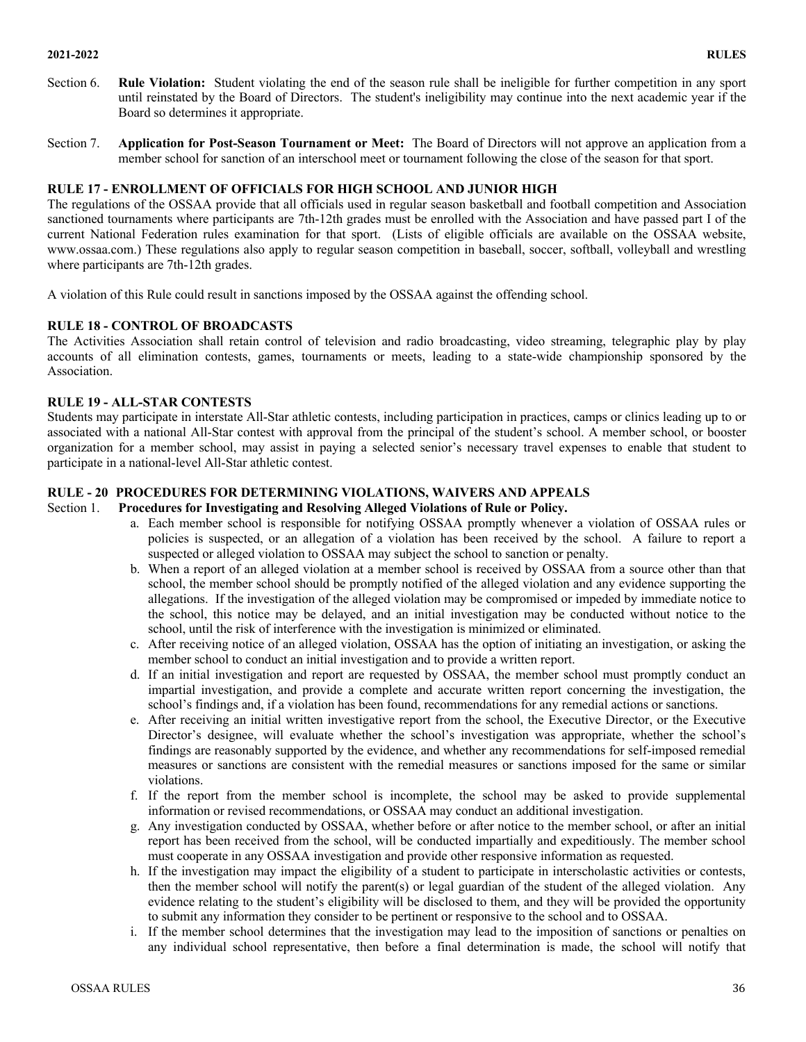#### **2021-2022 RULES**

- Section 6. **Rule Violation:** Student violating the end of the season rule shall be ineligible for further competition in any sport until reinstated by the Board of Directors. The student's ineligibility may continue into the next academic year if the Board so determines it appropriate.
- Section 7. **Application for Post-Season Tournament or Meet:** The Board of Directors will not approve an application from a member school for sanction of an interschool meet or tournament following the close of the season for that sport.

# **RULE 17 - ENROLLMENT OF OFFICIALS FOR HIGH SCHOOL AND JUNIOR HIGH**

The regulations of the OSSAA provide that all officials used in regular season basketball and football competition and Association sanctioned tournaments where participants are 7th-12th grades must be enrolled with the Association and have passed part I of the current National Federation rules examination for that sport. (Lists of eligible officials are available on the OSSAA website, www.ossaa.com.) These regulations also apply to regular season competition in baseball, soccer, softball, volleyball and wrestling where participants are 7th-12th grades.

A violation of this Rule could result in sanctions imposed by the OSSAA against the offending school.

# **RULE 18 - CONTROL OF BROADCASTS**

The Activities Association shall retain control of television and radio broadcasting, video streaming, telegraphic play by play accounts of all elimination contests, games, tournaments or meets, leading to a state-wide championship sponsored by the Association.

### **RULE 19 - ALL-STAR CONTESTS**

Students may participate in interstate All-Star athletic contests, including participation in practices, camps or clinics leading up to or associated with a national All-Star contest with approval from the principal of the student's school. A member school, or booster organization for a member school, may assist in paying a selected senior's necessary travel expenses to enable that student to participate in a national-level All-Star athletic contest.

# **RULE - 20 PROCEDURES FOR DETERMINING VIOLATIONS, WAIVERS AND APPEALS**

#### Section 1. **Procedures for Investigating and Resolving Alleged Violations of Rule or Policy.**

- a. Each member school is responsible for notifying OSSAA promptly whenever a violation of OSSAA rules or policies is suspected, or an allegation of a violation has been received by the school. A failure to report a suspected or alleged violation to OSSAA may subject the school to sanction or penalty.
- b. When a report of an alleged violation at a member school is received by OSSAA from a source other than that school, the member school should be promptly notified of the alleged violation and any evidence supporting the allegations. If the investigation of the alleged violation may be compromised or impeded by immediate notice to the school, this notice may be delayed, and an initial investigation may be conducted without notice to the school, until the risk of interference with the investigation is minimized or eliminated.
- c. After receiving notice of an alleged violation, OSSAA has the option of initiating an investigation, or asking the member school to conduct an initial investigation and to provide a written report.
- d. If an initial investigation and report are requested by OSSAA, the member school must promptly conduct an impartial investigation, and provide a complete and accurate written report concerning the investigation, the school's findings and, if a violation has been found, recommendations for any remedial actions or sanctions.
- e. After receiving an initial written investigative report from the school, the Executive Director, or the Executive Director's designee, will evaluate whether the school's investigation was appropriate, whether the school's findings are reasonably supported by the evidence, and whether any recommendations for self-imposed remedial measures or sanctions are consistent with the remedial measures or sanctions imposed for the same or similar violations.
- f. If the report from the member school is incomplete, the school may be asked to provide supplemental information or revised recommendations, or OSSAA may conduct an additional investigation.
- g. Any investigation conducted by OSSAA, whether before or after notice to the member school, or after an initial report has been received from the school, will be conducted impartially and expeditiously. The member school must cooperate in any OSSAA investigation and provide other responsive information as requested.
- h. If the investigation may impact the eligibility of a student to participate in interscholastic activities or contests, then the member school will notify the parent(s) or legal guardian of the student of the alleged violation. Any evidence relating to the student's eligibility will be disclosed to them, and they will be provided the opportunity to submit any information they consider to be pertinent or responsive to the school and to OSSAA.
- i. If the member school determines that the investigation may lead to the imposition of sanctions or penalties on any individual school representative, then before a final determination is made, the school will notify that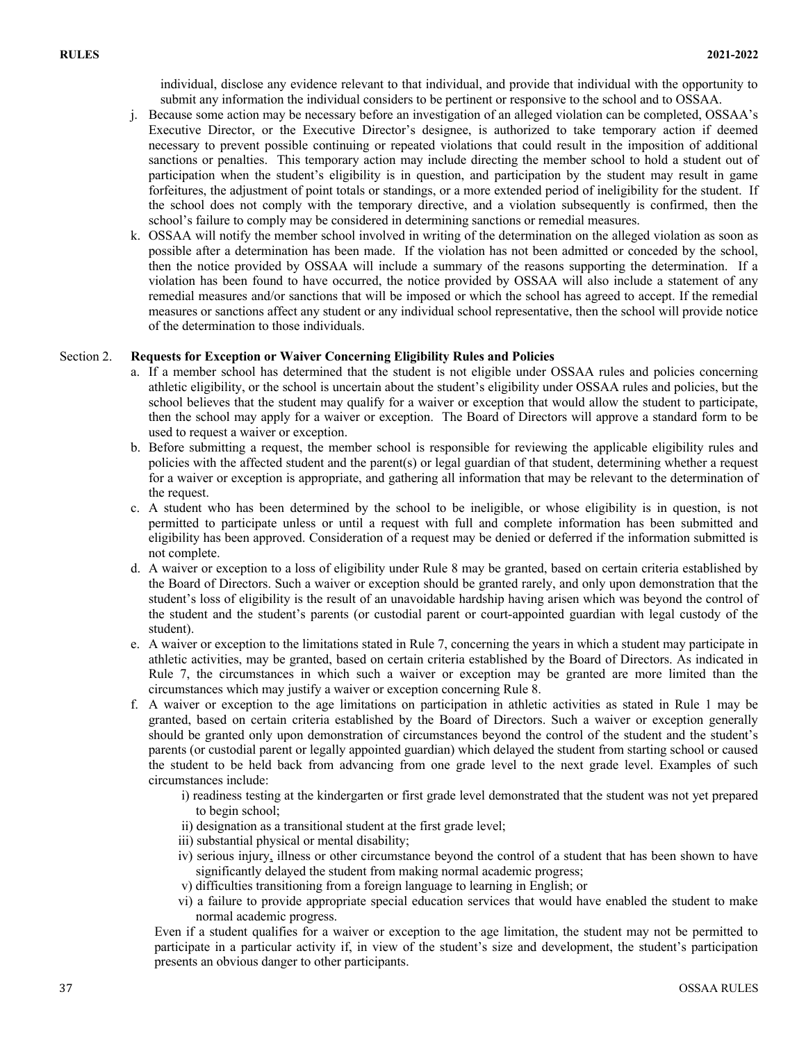individual, disclose any evidence relevant to that individual, and provide that individual with the opportunity to submit any information the individual considers to be pertinent or responsive to the school and to OSSAA.

- j. Because some action may be necessary before an investigation of an alleged violation can be completed, OSSAA's Executive Director, or the Executive Director's designee, is authorized to take temporary action if deemed necessary to prevent possible continuing or repeated violations that could result in the imposition of additional sanctions or penalties. This temporary action may include directing the member school to hold a student out of participation when the student's eligibility is in question, and participation by the student may result in game forfeitures, the adjustment of point totals or standings, or a more extended period of ineligibility for the student. If the school does not comply with the temporary directive, and a violation subsequently is confirmed, then the school's failure to comply may be considered in determining sanctions or remedial measures.
- k. OSSAA will notify the member school involved in writing of the determination on the alleged violation as soon as possible after a determination has been made. If the violation has not been admitted or conceded by the school, then the notice provided by OSSAA will include a summary of the reasons supporting the determination. If a violation has been found to have occurred, the notice provided by OSSAA will also include a statement of any remedial measures and/or sanctions that will be imposed or which the school has agreed to accept. If the remedial measures or sanctions affect any student or any individual school representative, then the school will provide notice of the determination to those individuals.

#### Section 2. **Requests for Exception or Waiver Concerning Eligibility Rules and Policies**

- a. If a member school has determined that the student is not eligible under OSSAA rules and policies concerning athletic eligibility, or the school is uncertain about the student's eligibility under OSSAA rules and policies, but the school believes that the student may qualify for a waiver or exception that would allow the student to participate, then the school may apply for a waiver or exception. The Board of Directors will approve a standard form to be used to request a waiver or exception.
- b. Before submitting a request, the member school is responsible for reviewing the applicable eligibility rules and policies with the affected student and the parent(s) or legal guardian of that student, determining whether a request for a waiver or exception is appropriate, and gathering all information that may be relevant to the determination of the request.
- c. A student who has been determined by the school to be ineligible, or whose eligibility is in question, is not permitted to participate unless or until a request with full and complete information has been submitted and eligibility has been approved. Consideration of a request may be denied or deferred if the information submitted is not complete.
- d. A waiver or exception to a loss of eligibility under Rule 8 may be granted, based on certain criteria established by the Board of Directors. Such a waiver or exception should be granted rarely, and only upon demonstration that the student's loss of eligibility is the result of an unavoidable hardship having arisen which was beyond the control of the student and the student's parents (or custodial parent or court-appointed guardian with legal custody of the student).
- e. A waiver or exception to the limitations stated in Rule 7, concerning the years in which a student may participate in athletic activities, may be granted, based on certain criteria established by the Board of Directors. As indicated in Rule 7, the circumstances in which such a waiver or exception may be granted are more limited than the circumstances which may justify a waiver or exception concerning Rule 8.
- f. A waiver or exception to the age limitations on participation in athletic activities as stated in Rule 1 may be granted, based on certain criteria established by the Board of Directors. Such a waiver or exception generally should be granted only upon demonstration of circumstances beyond the control of the student and the student's parents (or custodial parent or legally appointed guardian) which delayed the student from starting school or caused the student to be held back from advancing from one grade level to the next grade level. Examples of such circumstances include:
	- i) readiness testing at the kindergarten or first grade level demonstrated that the student was not yet prepared to begin school;
	- ii) designation as a transitional student at the first grade level;
	- iii) substantial physical or mental disability;
	- iv) serious injury, illness or other circumstance beyond the control of a student that has been shown to have significantly delayed the student from making normal academic progress;
	- v) difficulties transitioning from a foreign language to learning in English; or
	- vi) a failure to provide appropriate special education services that would have enabled the student to make normal academic progress.

Even if a student qualifies for a waiver or exception to the age limitation, the student may not be permitted to participate in a particular activity if, in view of the student's size and development, the student's participation presents an obvious danger to other participants.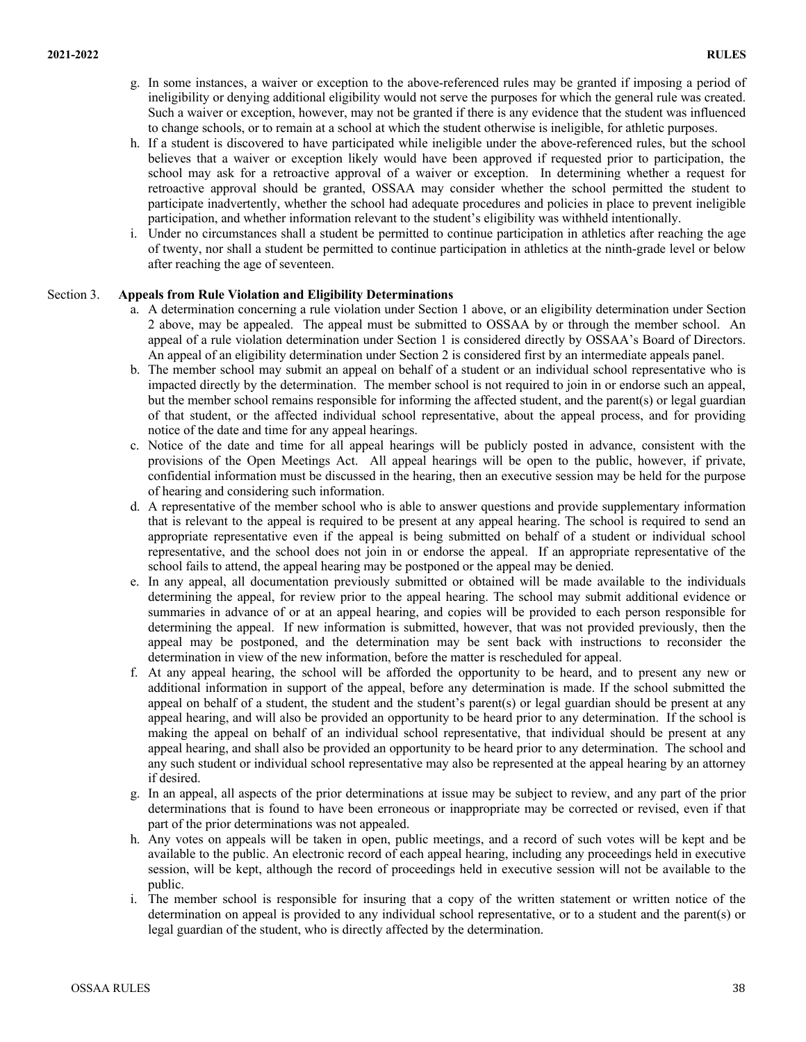- g. In some instances, a waiver or exception to the above-referenced rules may be granted if imposing a period of ineligibility or denying additional eligibility would not serve the purposes for which the general rule was created. Such a waiver or exception, however, may not be granted if there is any evidence that the student was influenced to change schools, or to remain at a school at which the student otherwise is ineligible, for athletic purposes.
- h. If a student is discovered to have participated while ineligible under the above-referenced rules, but the school believes that a waiver or exception likely would have been approved if requested prior to participation, the school may ask for a retroactive approval of a waiver or exception. In determining whether a request for retroactive approval should be granted, OSSAA may consider whether the school permitted the student to participate inadvertently, whether the school had adequate procedures and policies in place to prevent ineligible participation, and whether information relevant to the student's eligibility was withheld intentionally.
- i. Under no circumstances shall a student be permitted to continue participation in athletics after reaching the age of twenty, nor shall a student be permitted to continue participation in athletics at the ninth-grade level or below after reaching the age of seventeen.

### Section 3. **Appeals from Rule Violation and Eligibility Determinations**

- a. A determination concerning a rule violation under Section 1 above, or an eligibility determination under Section 2 above, may be appealed. The appeal must be submitted to OSSAA by or through the member school. An appeal of a rule violation determination under Section 1 is considered directly by OSSAA's Board of Directors. An appeal of an eligibility determination under Section 2 is considered first by an intermediate appeals panel.
- b. The member school may submit an appeal on behalf of a student or an individual school representative who is impacted directly by the determination. The member school is not required to join in or endorse such an appeal, but the member school remains responsible for informing the affected student, and the parent(s) or legal guardian of that student, or the affected individual school representative, about the appeal process, and for providing notice of the date and time for any appeal hearings.
- c. Notice of the date and time for all appeal hearings will be publicly posted in advance, consistent with the provisions of the Open Meetings Act. All appeal hearings will be open to the public, however, if private, confidential information must be discussed in the hearing, then an executive session may be held for the purpose of hearing and considering such information.
- d. A representative of the member school who is able to answer questions and provide supplementary information that is relevant to the appeal is required to be present at any appeal hearing. The school is required to send an appropriate representative even if the appeal is being submitted on behalf of a student or individual school representative, and the school does not join in or endorse the appeal. If an appropriate representative of the school fails to attend, the appeal hearing may be postponed or the appeal may be denied.
- e. In any appeal, all documentation previously submitted or obtained will be made available to the individuals determining the appeal, for review prior to the appeal hearing. The school may submit additional evidence or summaries in advance of or at an appeal hearing, and copies will be provided to each person responsible for determining the appeal. If new information is submitted, however, that was not provided previously, then the appeal may be postponed, and the determination may be sent back with instructions to reconsider the determination in view of the new information, before the matter is rescheduled for appeal.
- f. At any appeal hearing, the school will be afforded the opportunity to be heard, and to present any new or additional information in support of the appeal, before any determination is made. If the school submitted the appeal on behalf of a student, the student and the student's parent(s) or legal guardian should be present at any appeal hearing, and will also be provided an opportunity to be heard prior to any determination. If the school is making the appeal on behalf of an individual school representative, that individual should be present at any appeal hearing, and shall also be provided an opportunity to be heard prior to any determination. The school and any such student or individual school representative may also be represented at the appeal hearing by an attorney if desired.
- g. In an appeal, all aspects of the prior determinations at issue may be subject to review, and any part of the prior determinations that is found to have been erroneous or inappropriate may be corrected or revised, even if that part of the prior determinations was not appealed.
- h. Any votes on appeals will be taken in open, public meetings, and a record of such votes will be kept and be available to the public. An electronic record of each appeal hearing, including any proceedings held in executive session, will be kept, although the record of proceedings held in executive session will not be available to the public.
- i. The member school is responsible for insuring that a copy of the written statement or written notice of the determination on appeal is provided to any individual school representative, or to a student and the parent(s) or legal guardian of the student, who is directly affected by the determination.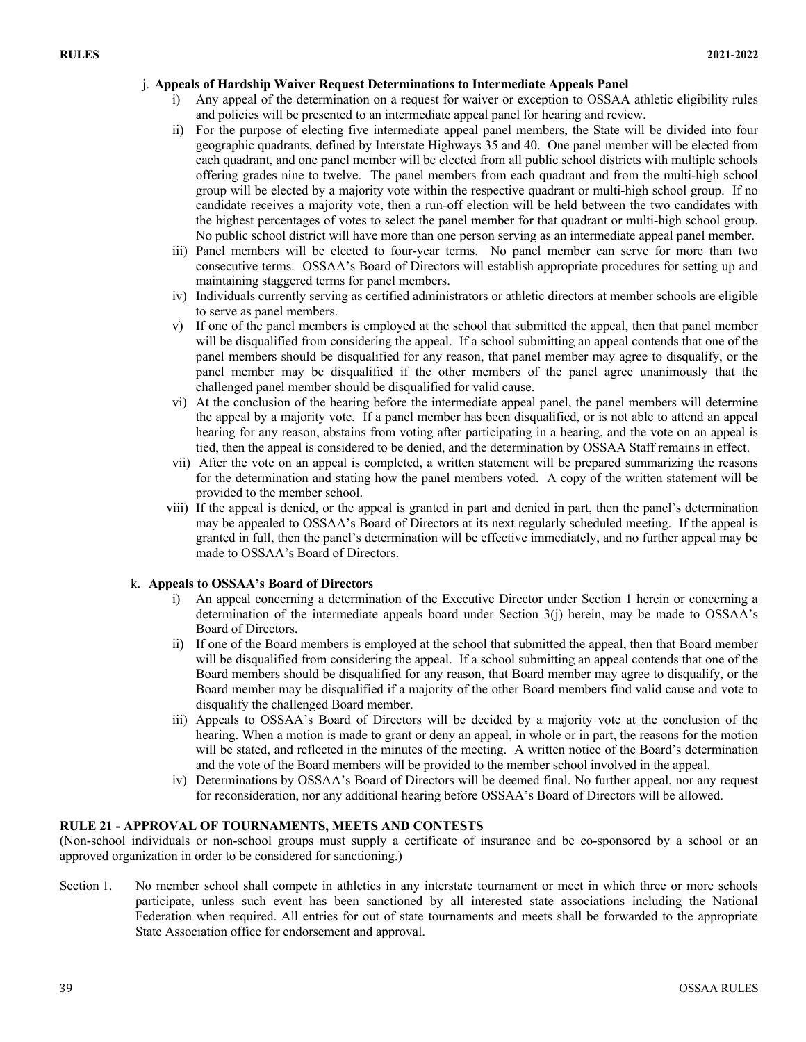### j. **Appeals of Hardship Waiver Request Determinations to Intermediate Appeals Panel**

- Any appeal of the determination on a request for waiver or exception to OSSAA athletic eligibility rules and policies will be presented to an intermediate appeal panel for hearing and review.
- ii) For the purpose of electing five intermediate appeal panel members, the State will be divided into four geographic quadrants, defined by Interstate Highways 35 and 40. One panel member will be elected from each quadrant, and one panel member will be elected from all public school districts with multiple schools offering grades nine to twelve. The panel members from each quadrant and from the multi-high school group will be elected by a majority vote within the respective quadrant or multi-high school group. If no candidate receives a majority vote, then a run-off election will be held between the two candidates with the highest percentages of votes to select the panel member for that quadrant or multi-high school group. No public school district will have more than one person serving as an intermediate appeal panel member.
- iii) Panel members will be elected to four-year terms. No panel member can serve for more than two consecutive terms. OSSAA's Board of Directors will establish appropriate procedures for setting up and maintaining staggered terms for panel members.
- iv) Individuals currently serving as certified administrators or athletic directors at member schools are eligible to serve as panel members.
- v) If one of the panel members is employed at the school that submitted the appeal, then that panel member will be disqualified from considering the appeal. If a school submitting an appeal contends that one of the panel members should be disqualified for any reason, that panel member may agree to disqualify, or the panel member may be disqualified if the other members of the panel agree unanimously that the challenged panel member should be disqualified for valid cause.
- vi) At the conclusion of the hearing before the intermediate appeal panel, the panel members will determine the appeal by a majority vote. If a panel member has been disqualified, or is not able to attend an appeal hearing for any reason, abstains from voting after participating in a hearing, and the vote on an appeal is tied, then the appeal is considered to be denied, and the determination by OSSAA Staff remains in effect.
- vii) After the vote on an appeal is completed, a written statement will be prepared summarizing the reasons for the determination and stating how the panel members voted. A copy of the written statement will be provided to the member school.
- viii) If the appeal is denied, or the appeal is granted in part and denied in part, then the panel's determination may be appealed to OSSAA's Board of Directors at its next regularly scheduled meeting. If the appeal is granted in full, then the panel's determination will be effective immediately, and no further appeal may be made to OSSAA's Board of Directors.

### k. **Appeals to OSSAA's Board of Directors**

- i) An appeal concerning a determination of the Executive Director under Section 1 herein or concerning a determination of the intermediate appeals board under Section  $3(i)$  herein, may be made to OSSAA's Board of Directors.
- ii) If one of the Board members is employed at the school that submitted the appeal, then that Board member will be disqualified from considering the appeal. If a school submitting an appeal contends that one of the Board members should be disqualified for any reason, that Board member may agree to disqualify, or the Board member may be disqualified if a majority of the other Board members find valid cause and vote to disqualify the challenged Board member.
- iii) Appeals to OSSAA's Board of Directors will be decided by a majority vote at the conclusion of the hearing. When a motion is made to grant or deny an appeal, in whole or in part, the reasons for the motion will be stated, and reflected in the minutes of the meeting. A written notice of the Board's determination and the vote of the Board members will be provided to the member school involved in the appeal.
- iv) Determinations by OSSAA's Board of Directors will be deemed final. No further appeal, nor any request for reconsideration, nor any additional hearing before OSSAA's Board of Directors will be allowed.

#### **RULE 21 - APPROVAL OF TOURNAMENTS, MEETS AND CONTESTS**

(Non-school individuals or non-school groups must supply a certificate of insurance and be co-sponsored by a school or an approved organization in order to be considered for sanctioning.)

Section 1. No member school shall compete in athletics in any interstate tournament or meet in which three or more schools participate, unless such event has been sanctioned by all interested state associations including the National Federation when required. All entries for out of state tournaments and meets shall be forwarded to the appropriate State Association office for endorsement and approval.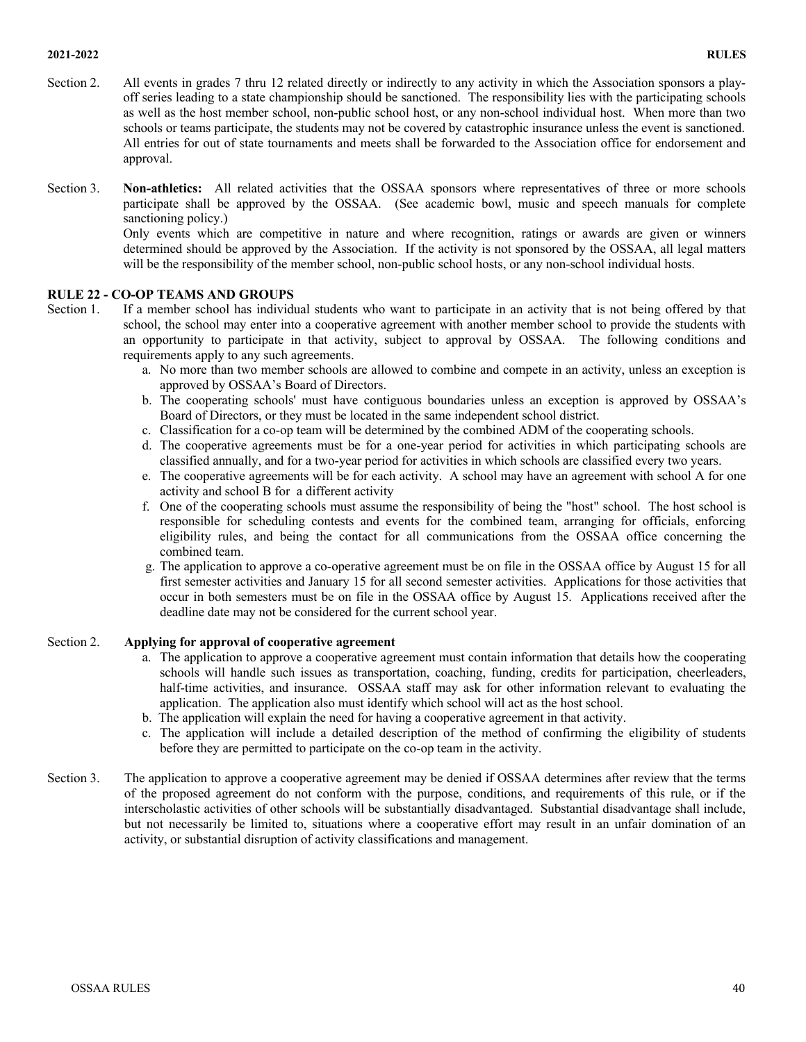#### **2021-2022 RULES**

- Section 2. All events in grades 7 thru 12 related directly or indirectly to any activity in which the Association sponsors a playoff series leading to a state championship should be sanctioned. The responsibility lies with the participating schools as well as the host member school, non-public school host, or any non-school individual host. When more than two schools or teams participate, the students may not be covered by catastrophic insurance unless the event is sanctioned. All entries for out of state tournaments and meets shall be forwarded to the Association office for endorsement and approval.
- Section 3. **Non-athletics:** All related activities that the OSSAA sponsors where representatives of three or more schools participate shall be approved by the OSSAA. (See academic bowl, music and speech manuals for complete sanctioning policy.)

Only events which are competitive in nature and where recognition, ratings or awards are given or winners determined should be approved by the Association. If the activity is not sponsored by the OSSAA, all legal matters will be the responsibility of the member school, non-public school hosts, or any non-school individual hosts.

# **RULE 22 - CO-OP TEAMS AND GROUPS**

- Section 1. If a member school has individual students who want to participate in an activity that is not being offered by that school, the school may enter into a cooperative agreement with another member school to provide the students with an opportunity to participate in that activity, subject to approval by OSSAA. The following conditions and requirements apply to any such agreements.
	- a. No more than two member schools are allowed to combine and compete in an activity, unless an exception is approved by OSSAA's Board of Directors.
	- b. The cooperating schools' must have contiguous boundaries unless an exception is approved by OSSAA's Board of Directors, or they must be located in the same independent school district.
	- c. Classification for a co-op team will be determined by the combined ADM of the cooperating schools.
	- d. The cooperative agreements must be for a one-year period for activities in which participating schools are classified annually, and for a two-year period for activities in which schools are classified every two years.
	- e. The cooperative agreements will be for each activity. A school may have an agreement with school A for one activity and school B for a different activity
	- f. One of the cooperating schools must assume the responsibility of being the "host" school. The host school is responsible for scheduling contests and events for the combined team, arranging for officials, enforcing eligibility rules, and being the contact for all communications from the OSSAA office concerning the combined team.
	- g. The application to approve a co-operative agreement must be on file in the OSSAA office by August 15 for all first semester activities and January 15 for all second semester activities. Applications for those activities that occur in both semesters must be on file in the OSSAA office by August 15. Applications received after the deadline date may not be considered for the current school year.

#### Section 2. **Applying for approval of cooperative agreement**

- a. The application to approve a cooperative agreement must contain information that details how the cooperating schools will handle such issues as transportation, coaching, funding, credits for participation, cheerleaders, half-time activities, and insurance. OSSAA staff may ask for other information relevant to evaluating the application. The application also must identify which school will act as the host school.
- b. The application will explain the need for having a cooperative agreement in that activity.
- c. The application will include a detailed description of the method of confirming the eligibility of students before they are permitted to participate on the co-op team in the activity.
- Section 3. The application to approve a cooperative agreement may be denied if OSSAA determines after review that the terms of the proposed agreement do not conform with the purpose, conditions, and requirements of this rule, or if the interscholastic activities of other schools will be substantially disadvantaged. Substantial disadvantage shall include, but not necessarily be limited to, situations where a cooperative effort may result in an unfair domination of an activity, or substantial disruption of activity classifications and management.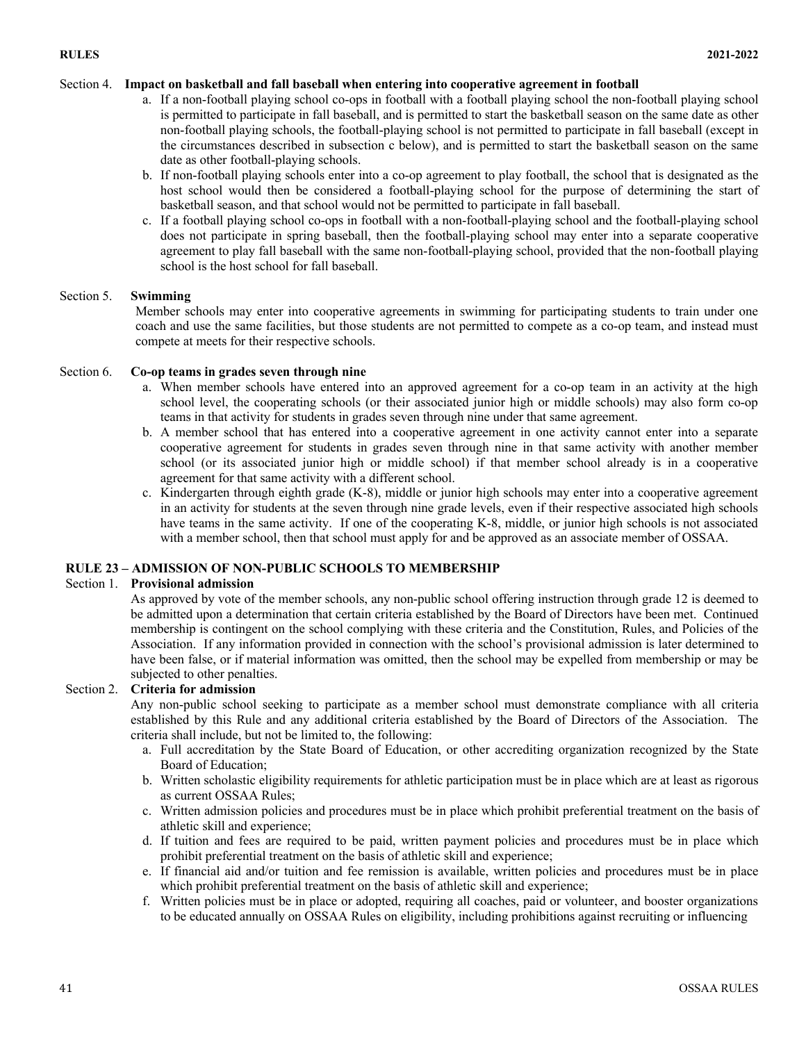# Section 4. **Impact on basketball and fall baseball when entering into cooperative agreement in football**

- a. If a non-football playing school co-ops in football with a football playing school the non-football playing school is permitted to participate in fall baseball, and is permitted to start the basketball season on the same date as other non-football playing schools, the football-playing school is not permitted to participate in fall baseball (except in the circumstances described in subsection c below), and is permitted to start the basketball season on the same date as other football-playing schools.
- b. If non-football playing schools enter into a co-op agreement to play football, the school that is designated as the host school would then be considered a football-playing school for the purpose of determining the start of basketball season, and that school would not be permitted to participate in fall baseball.
- c. If a football playing school co-ops in football with a non-football-playing school and the football-playing school does not participate in spring baseball, then the football-playing school may enter into a separate cooperative agreement to play fall baseball with the same non-football-playing school, provided that the non-football playing school is the host school for fall baseball.

# Section 5. **Swimming**

Member schools may enter into cooperative agreements in swimming for participating students to train under one coach and use the same facilities, but those students are not permitted to compete as a co-op team, and instead must compete at meets for their respective schools.

### Section 6. **Co-op teams in grades seven through nine**

- a. When member schools have entered into an approved agreement for a co-op team in an activity at the high school level, the cooperating schools (or their associated junior high or middle schools) may also form co-op teams in that activity for students in grades seven through nine under that same agreement.
- b. A member school that has entered into a cooperative agreement in one activity cannot enter into a separate cooperative agreement for students in grades seven through nine in that same activity with another member school (or its associated junior high or middle school) if that member school already is in a cooperative agreement for that same activity with a different school.
- c. Kindergarten through eighth grade (K-8), middle or junior high schools may enter into a cooperative agreement in an activity for students at the seven through nine grade levels, even if their respective associated high schools have teams in the same activity. If one of the cooperating K-8, middle, or junior high schools is not associated with a member school, then that school must apply for and be approved as an associate member of OSSAA.

# **RULE 23 – ADMISSION OF NON-PUBLIC SCHOOLS TO MEMBERSHIP**

#### Section 1. **Provisional admission**

As approved by vote of the member schools, any non-public school offering instruction through grade 12 is deemed to be admitted upon a determination that certain criteria established by the Board of Directors have been met. Continued membership is contingent on the school complying with these criteria and the Constitution, Rules, and Policies of the Association. If any information provided in connection with the school's provisional admission is later determined to have been false, or if material information was omitted, then the school may be expelled from membership or may be subjected to other penalties.

#### Section 2. **Criteria for admission**

Any non-public school seeking to participate as a member school must demonstrate compliance with all criteria established by this Rule and any additional criteria established by the Board of Directors of the Association. The criteria shall include, but not be limited to, the following:

- a. Full accreditation by the State Board of Education, or other accrediting organization recognized by the State Board of Education;
- b. Written scholastic eligibility requirements for athletic participation must be in place which are at least as rigorous as current OSSAA Rules;
- c. Written admission policies and procedures must be in place which prohibit preferential treatment on the basis of athletic skill and experience;
- d. If tuition and fees are required to be paid, written payment policies and procedures must be in place which prohibit preferential treatment on the basis of athletic skill and experience;
- e. If financial aid and/or tuition and fee remission is available, written policies and procedures must be in place which prohibit preferential treatment on the basis of athletic skill and experience;
- f. Written policies must be in place or adopted, requiring all coaches, paid or volunteer, and booster organizations to be educated annually on OSSAA Rules on eligibility, including prohibitions against recruiting or influencing